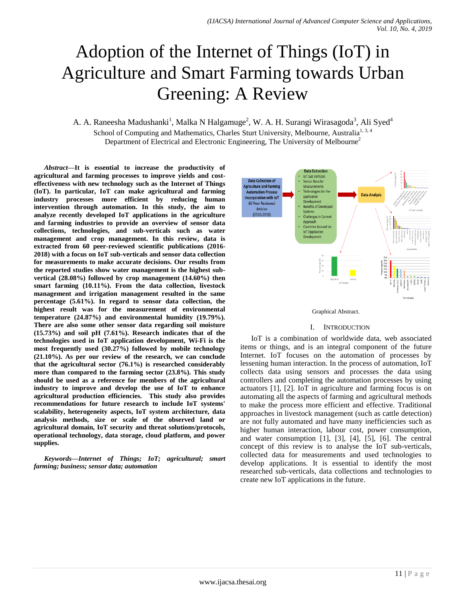# Adoption of the Internet of Things (IoT) in Agriculture and Smart Farming towards Urban Greening: A Review

A. A. Raneesha Madushanki<sup>1</sup>, Malka N Halgamuge<sup>2</sup>, W. A. H. Surangi Wirasagoda<sup>3</sup>, Ali Syed<sup>4</sup> School of Computing and Mathematics, Charles Sturt University, Melbourne, Australia<sup>1, 3, 4</sup> Department of Electrical and Electronic Engineering, The University of Melbourne<sup>2</sup>

*Abstract***—It is essential to increase the productivity of agricultural and farming processes to improve yields and costeffectiveness with new technology such as the Internet of Things (IoT). In particular, IoT can make agricultural and farming industry processes more efficient by reducing human intervention through automation. In this study, the aim to analyze recently developed IoT applications in the agriculture and farming industries to provide an overview of sensor data collections, technologies, and sub-verticals such as water management and crop management. In this review, data is extracted from 60 peer-reviewed scientific publications (2016- 2018) with a focus on IoT sub-verticals and sensor data collection for measurements to make accurate decisions. Our results from the reported studies show water management is the highest subvertical (28.08%) followed by crop management (14.60%) then smart farming (10.11%). From the data collection, livestock management and irrigation management resulted in the same percentage (5.61%). In regard to sensor data collection, the highest result was for the measurement of environmental temperature (24.87%) and environmental humidity (19.79%). There are also some other sensor data regarding soil moisture (15.73%) and soil pH (7.61%). Research indicates that of the technologies used in IoT application development, Wi-Fi is the most frequently used (30.27%) followed by mobile technology (21.10%). As per our review of the research, we can conclude that the agricultural sector (76.1%) is researched considerably more than compared to the farming sector (23.8%). This study should be used as a reference for members of the agricultural industry to improve and develop the use of IoT to enhance agricultural production efficiencies. This study also provides recommendations for future research to include IoT systems' scalability, heterogeneity aspects, IoT system architecture, data analysis methods, size or scale of the observed land or agricultural domain, IoT security and threat solutions/protocols, operational technology, data storage, cloud platform, and power supplies.**

*Keywords—Internet of Things; IoT; agricultural; smart farming; business; sensor data; automation*





#### I. INTRODUCTION

IoT is a combination of worldwide data, web associated items or things, and is an integral component of the future Internet. IoT focuses on the automation of processes by lessening human interaction. In the process of automation, IoT collects data using sensors and processes the data using controllers and completing the automation processes by using actuators [1], [2]. IoT in agriculture and farming focus is on automating all the aspects of farming and agricultural methods to make the process more efficient and effective. Traditional approaches in livestock management (such as cattle detection) are not fully automated and have many inefficiencies such as higher human interaction, labour cost, power consumption, and water consumption [1], [3], [4], [5], [6]. The central concept of this review is to analyse the IoT sub-verticals, collected data for measurements and used technologies to develop applications. It is essential to identify the most researched sub-verticals, data collections and technologies to create new IoT applications in the future.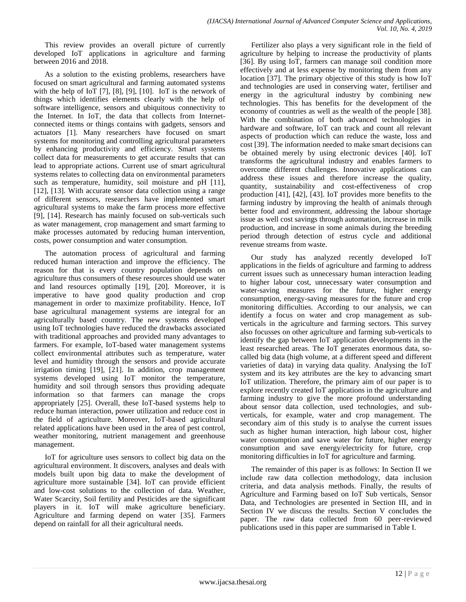This review provides an overall picture of currently developed IoT applications in agriculture and farming between 2016 and 2018.

As a solution to the existing problems, researchers have focused on smart agricultural and farming automated systems with the help of IoT [7], [8], [9], [10]. IoT is the network of things which identifies elements clearly with the help of software intelligence, sensors and ubiquitous connectivity to the Internet. In IoT, the data that collects from Internetconnected items or things contains with gadgets, sensors and actuators [1]. Many researchers have focused on smart systems for monitoring and controlling agricultural parameters by enhancing productivity and efficiency. Smart systems collect data for measurements to get accurate results that can lead to appropriate actions. Current use of smart agricultural systems relates to collecting data on environmental parameters such as temperature, humidity, soil moisture and pH [11], [12], [13]. With accurate sensor data collection using a range of different sensors, researchers have implemented smart agricultural systems to make the farm process more effective [9], [14]. Research has mainly focused on sub-verticals such as water management, crop management and smart farming to make processes automated by reducing human intervention, costs, power consumption and water consumption.

The automation process of agricultural and farming reduced human interaction and improve the efficiency. The reason for that is every country population depends on agriculture thus consumers of these resources should use water and land resources optimally [19], [20]. Moreover, it is imperative to have good quality production and crop management in order to maximize profitability. Hence, IoT base agricultural management systems are integral for an agriculturally based country. The new systems developed using IoT technologies have reduced the drawbacks associated with traditional approaches and provided many advantages to farmers. For example, IoT-based water management systems collect environmental attributes such as temperature, water level and humidity through the sensors and provide accurate irrigation timing [19], [21]. In addition, crop management systems developed using IoT monitor the temperature, humidity and soil through sensors thus providing adequate information so that farmers can manage the crops appropriately [25]. Overall, these IoT-based systems help to reduce human interaction, power utilization and reduce cost in the field of agriculture. Moreover, IoT-based agricultural related applications have been used in the area of pest control, weather monitoring, nutrient management and greenhouse management.

IoT for agriculture uses sensors to collect big data on the agricultural environment. It discovers, analyses and deals with models built upon big data to make the development of agriculture more sustainable [34]. IoT can provide efficient and low-cost solutions to the collection of data. Weather, Water Scarcity, Soil fertility and Pesticides are the significant players in it. IoT will make agriculture beneficiary. Agriculture and farming depend on water [35]. Farmers depend on rainfall for all their agricultural needs.

Fertilizer also plays a very significant role in the field of agriculture by helping to increase the productivity of plants [36]. By using IoT, farmers can manage soil condition more effectively and at less expense by monitoring them from any location [37]. The primary objective of this study is how IoT and technologies are used in conserving water, fertiliser and energy in the agricultural industry by combining new technologies. This has benefits for the development of the economy of countries as well as the wealth of the people [38]. With the combination of both advanced technologies in hardware and software, IoT can track and count all relevant aspects of production which can reduce the waste, loss and cost [39]. The information needed to make smart decisions can be obtained merely by using electronic devices [40]. IoT transforms the agricultural industry and enables farmers to overcome different challenges. Innovative applications can address these issues and therefore increase the quality, quantity, sustainability and cost-effectiveness of crop production [41], [42], [43]. IoT provides more benefits to the farming industry by improving the health of animals through better food and environment, addressing the labour shortage issue as well cost savings through automation, increase in milk production, and increase in some animals during the breeding period through detection of estrus cycle and additional revenue streams from waste.

Our study has analyzed recently developed IoT applications in the fields of agriculture and farming to address current issues such as unnecessary human interaction leading to higher labour cost, unnecessary water consumption and water-saving measures for the future, higher energy consumption, energy-saving measures for the future and crop monitoring difficulties. According to our analysis, we can identify a focus on water and crop management as subverticals in the agriculture and farming sectors. This survey also focusses on other agriculture and farming sub-verticals to identify the gap between IoT application developments in the least researched areas. The IoT generates enormous data, socalled big data (high volume, at a different speed and different varieties of data) in varying data quality. Analysing the IoT system and its key attributes are the key to advancing smart IoT utilization. Therefore, the primary aim of our paper is to explore recently created IoT applications in the agriculture and farming industry to give the more profound understanding about sensor data collection, used technologies, and subverticals, for example, water and crop management. The secondary aim of this study is to analyse the current issues such as higher human interaction, high labour cost, higher water consumption and save water for future, higher energy consumption and save energy/electricity for future, crop monitoring difficulties in IoT for agriculture and farming.

The remainder of this paper is as follows: In Section II we include raw data collection methodology, data inclusion criteria, and data analysis methods. Finally, the results of Agriculture and Farming based on IoT Sub verticals, Sensor Data, and Technologies are presented in Section III, and in Section IV we discuss the results. Section V concludes the paper. The raw data collected from 60 peer-reviewed publications used in this paper are summarised in Table I.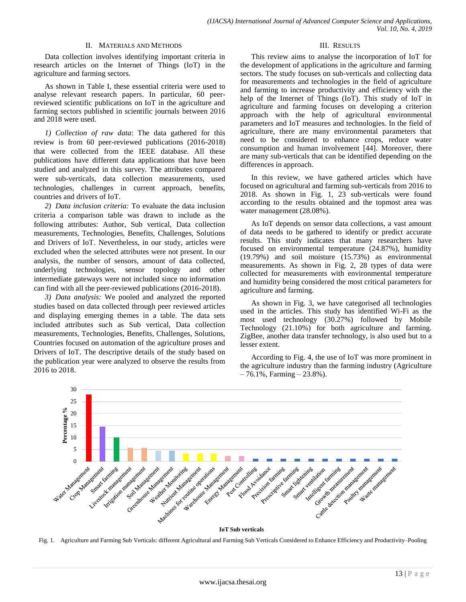### II. MATERIALS AND METHODS

Data collection involves identifying important criteria in research articles on the Internet of Things (IoT) in the agriculture and farming sectors.

As shown in Table I, these essential criteria were used to analyse relevant research papers. In particular, 60 peerreviewed scientific publications on IoT in the agriculture and farming sectors published in scientific journals between 2016 and 2018 were used.

*1) Collection of raw data*: The data gathered for this review is from 60 peer-reviewed publications (2016-2018) that were collected from the IEEE database. All these publications have different data applications that have been studied and analyzed in this survey. The attributes compared were sub-verticals, data collection measurements, used technologies, challenges in current approach, benefits, countries and drivers of IoT.

*2) Data inclusion criteria:* To evaluate the data inclusion criteria a comparison table was drawn to include as the following attributes: Author, Sub vertical, Data collection measurements, Technologies, Benefits, Challenges, Solutions and Drivers of IoT. Nevertheless, in our study, articles were excluded when the selected attributes were not present. In our analysis, the number of sensors, amount of data collected, underlying technologies, sensor topology and other intermediate gateways were not included since no information can find with all the peer-reviewed publications (2016-2018).

*3) Data analysis:* We pooled and analyzed the reported studies based on data collected through peer reviewed articles and displaying emerging themes in a table. The data sets included attributes such as Sub vertical, Data collection measurements, Technologies, Benefits, Challenges, Solutions, Countries focused on automation of the agriculture proses and Drivers of IoT. The descriptive details of the study based on the publication year were analyzed to observe the results from 2016 to 2018.

#### III. RESULTS

This review aims to analyse the incorporation of IoT for the development of applications in the agriculture and farming sectors. The study focuses on sub-verticals and collecting data for measurements and technologies in the field of agriculture and farming to increase productivity and efficiency with the help of the Internet of Things (IoT). This study of IoT in agriculture and farming focuses on developing a criterion approach with the help of agricultural environmental parameters and IoT measures and technologies. In the field of agriculture, there are many environmental parameters that need to be considered to enhance crops, reduce water consumption and human involvement [44]. Moreover, there are many sub-verticals that can be identified depending on the differences in approach.

In this review, we have gathered articles which have focused on agricultural and farming sub-verticals from 2016 to 2018. As shown in Fig. 1, 23 sub-verticals were found according to the results obtained and the topmost area was water management (28.08%).

As IoT depends on sensor data collections, a vast amount of data needs to be gathered to identify or predict accurate results. This study indicates that many researchers have focused on environmental temperature (24.87%), humidity (19.79%) and soil moisture (15.73%) as environmental measurements. As shown in Fig. 2, 28 types of data were collected for measurements with environmental temperature and humidity being considered the most critical parameters for agriculture and farming.

As shown in Fig. 3, we have categorised all technologies used in the articles. This study has identified Wi-Fi as the most used technology (30.27%) followed by Mobile Technology (21.10%) for both agriculture and farming. ZigBee, another data transfer technology, is also used but to a lesser extent.

According to Fig. 4, the use of IoT was more prominent in the agriculture industry than the farming industry (Agriculture  $-76.1\%$ , Farming  $-23.8\%$ ).



#### **IoT Sub verticals**

Fig. 1. Agriculture and Farming Sub Verticals: different Agricultural and Farming Sub Verticals Considered to Enhance Efficiency and Productivity–Pooling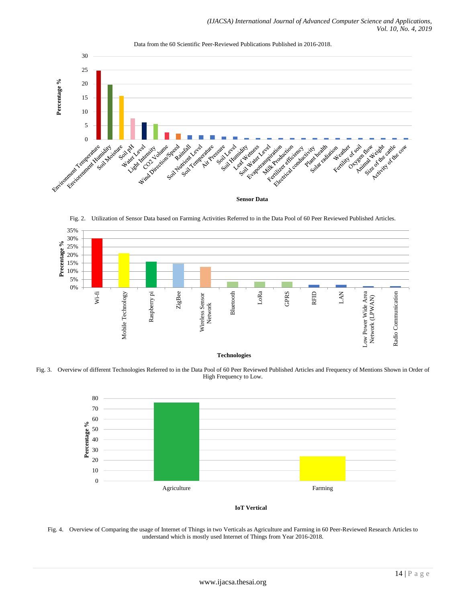

Data from the 60 Scientific Peer-Reviewed Publications Published in 2016-2018.

Fig. 2. Utilization of Sensor Data based on Farming Activities Referred to in the Data Pool of 60 Peer Reviewed Published Articles.





Fig. 3. Overview of different Technologies Referred to in the Data Pool of 60 Peer Reviewed Published Articles and Frequency of Mentions Shown in Order of High Frequency to Low.



**IoT Vertical**

Fig. 4. Overview of Comparing the usage of Internet of Things in two Verticals as Agriculture and Farming in 60 Peer-Reviewed Research Articles to understand which is mostly used Internet of Things from Year 2016-2018.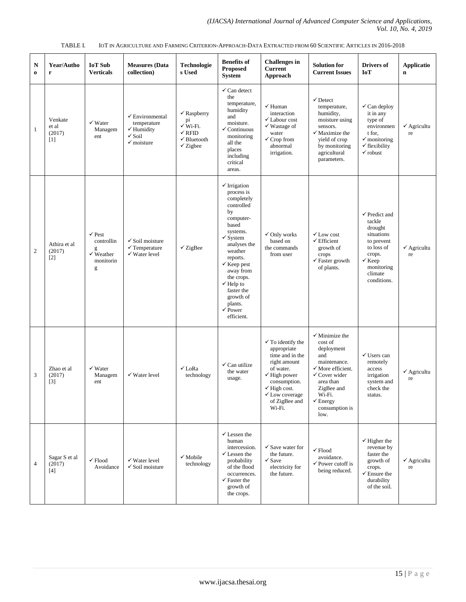| N<br>$\bf{0}$  | Year/Autho<br>r                     | <b>IoT</b> Sub<br><b>Verticals</b>                                             | <b>Measures</b> (Data<br>collection)                                                                             | <b>Technologie</b><br>s Used                                                                                                     | <b>Benefits of</b><br><b>Proposed</b><br><b>System</b>                                                                                                                                                                                                                                                                         | <b>Challenges</b> in<br><b>Current</b><br>Approach                                                                                                                                                                        | <b>Solution for</b><br><b>Current Issues</b>                                                                                                                                                                                | <b>Drivers of</b><br>IoT                                                                                                                                       | <b>Applicatio</b><br>$\mathbf n$   |
|----------------|-------------------------------------|--------------------------------------------------------------------------------|------------------------------------------------------------------------------------------------------------------|----------------------------------------------------------------------------------------------------------------------------------|--------------------------------------------------------------------------------------------------------------------------------------------------------------------------------------------------------------------------------------------------------------------------------------------------------------------------------|---------------------------------------------------------------------------------------------------------------------------------------------------------------------------------------------------------------------------|-----------------------------------------------------------------------------------------------------------------------------------------------------------------------------------------------------------------------------|----------------------------------------------------------------------------------------------------------------------------------------------------------------|------------------------------------|
| 1              | Venkate<br>et al<br>(2017)<br>$[1]$ | $\checkmark$ Water<br>Managem<br>ent                                           | $\checkmark$ Environmental<br>temperature<br>$\checkmark$ Humidity<br>$\checkmark$ Soil<br>$\checkmark$ moisture | $\checkmark$ Raspberry<br>pi<br>$\check{\mathbf{W}}$ i-Fi.<br>$\checkmark$ RFID<br>$\checkmark$ Bluetooth<br>$\checkmark$ Zigbee | $\checkmark$ Can detect<br>the<br>temperature,<br>humidity<br>and<br>moisture.<br>Continuous<br>✓<br>monitoring<br>all the<br>places<br>including<br>critical<br>areas.                                                                                                                                                        | $\checkmark$ Human<br>interaction<br>$\checkmark$ Labour cost<br>$\checkmark$ Wastage of<br>water<br>$\checkmark$ Crop from<br>abnormal<br>irrigation.                                                                    | $\checkmark$ Detect<br>temperature,<br>humidity,<br>moisture using<br>sensors.<br>$\checkmark$ Maximize the<br>yield of crop<br>by monitoring<br>agricultural<br>parameters.                                                | $\checkmark$ Can deploy<br>it in any<br>type of<br>environmen<br>t for.<br>$\checkmark$ monitoring<br>$\checkmark$ flexibility<br>$\checkmark$ robust          | $\checkmark$ Agricultu<br>re       |
| $\overline{c}$ | Athira et al<br>(2017)<br>$[2]$     | $\checkmark$ Pest<br>controllin<br>g<br>$\checkmark$ Weather<br>monitorin<br>g | $\checkmark$ Soil moisture<br>$\checkmark$ Temperature<br>$\checkmark$ Water level                               | $\checkmark$ ZigBee                                                                                                              | $\checkmark$ Irrigation<br>process is<br>completely<br>controlled<br>by<br>computer-<br>based<br>systems.<br>$\checkmark$ System<br>analyses the<br>weather<br>reports.<br>$\checkmark$ Keep pest<br>away from<br>the crops.<br>$\checkmark$ Help to<br>faster the<br>growth of<br>plants.<br>$\checkmark$ Power<br>efficient. | $\checkmark$ Only works<br>based on<br>the commands<br>from user                                                                                                                                                          | $\checkmark$ Low cost<br>$\checkmark$ Efficient<br>growth of<br>crops<br>$\checkmark$ Faster growth<br>of plants.                                                                                                           | $\checkmark$ Predict and<br>tackle<br>drought<br>situations<br>to prevent<br>to loss of<br>crops.<br>$\checkmark$ Keep<br>monitoring<br>climate<br>conditions. | $\checkmark$ Agricultu<br>re       |
| 3              | Zhao et al<br>(2017)<br>$[3]$       | $\checkmark$ Water<br>Managem<br>ent                                           | $\checkmark$ Water level                                                                                         | $\checkmark$ LoRa<br>technology                                                                                                  | $\checkmark$ Can utilize<br>the water<br>usage.                                                                                                                                                                                                                                                                                | $\checkmark$ To identify the<br>appropriate<br>time and in the<br>right amount<br>of water.<br>$\checkmark$ High power<br>consumption.<br>$\checkmark$ High cost.<br>$\checkmark$ Low coverage<br>of ZigBee and<br>Wi-Fi. | $\checkmark$ Minimize the<br>cost of<br>deployment<br>and<br>maintenance.<br>$\checkmark$ More efficient.<br>$\checkmark$ Cover wider<br>area than<br>ZigBee and<br>Wi-Fi.<br>$\checkmark$ Energy<br>consumption is<br>low. | $\checkmark$ Users can<br>remotely<br>access<br>irrigation<br>system and<br>check the<br>status.                                                               | $\checkmark$ Agricultu<br>re       |
| $\overline{4}$ | Sagar S et al<br>(2017)<br>$[4]$    | $\checkmark$ Flood<br>Avoidance                                                | $\checkmark$ Water level<br>$\checkmark$ Soil moisture                                                           | $\checkmark$ Mobile<br>technology                                                                                                | $\checkmark$ Lessen the<br>human<br>intercession.<br>$\checkmark$ Lessen the<br>probability<br>of the flood<br>occurrences.<br>$\checkmark$ Faster the<br>growth of<br>the crops.                                                                                                                                              | $\checkmark$ Save water for<br>the future.<br>$\checkmark$ Save<br>electricity for<br>the future.                                                                                                                         | $\checkmark$ Flood<br>avoidance.<br>$\checkmark$ Power cutoff is<br>being reduced.                                                                                                                                          | $\checkmark$ Higher the<br>revenue by<br>faster the<br>growth of<br>crops.<br>$\checkmark$ Ensure the<br>durability<br>of the soil.                            | $\checkmark$ Agricultu<br>$\rm re$ |

TABLE I. IOT IN AGRICULTURE AND FARMING CRITERION-APPROACH-DATA EXTRACTED FROM 60 SCIENTIFIC ARTICLES IN 2016-2018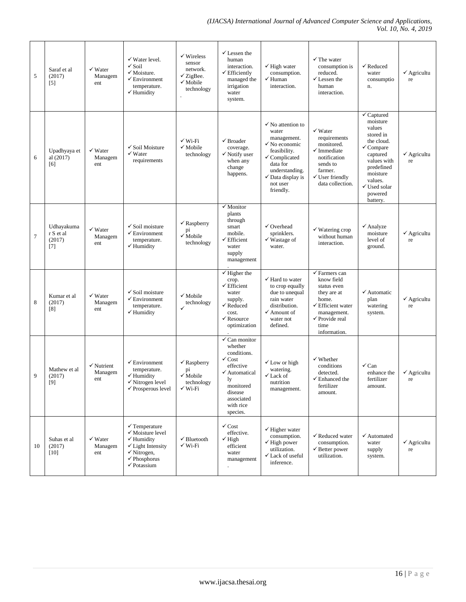| 5      | Saraf et al<br>(2017)<br>$[5]$             | $\checkmark$ Water<br>Managem<br>ent    | $\checkmark$ Water level.<br>$\checkmark$ Soil<br>$\checkmark$ Moisture.<br>$\checkmark$ Environment<br>temperature.<br>$\checkmark$ Humidity                                                   | $\checkmark$ Wireless<br>sensor<br>network.<br>$\checkmark$ ZigBee.<br>$\checkmark$ Mobile<br>technology | $\checkmark$ Lessen the<br>human<br>interaction.<br>$\checkmark$ Efficiently<br>managed the<br>irrigation<br>water<br>system.                                                         | $\checkmark$ High water<br>consumption.<br>$\checkmark$ Human<br>interaction.                                                                                                                                       | $\checkmark$ The water<br>consumption is<br>reduced.<br>$\checkmark$ Lessen the<br>human<br>interaction.                                                            | $\checkmark$ Reduced<br>water<br>consumptio<br>n.                                                                                                                                                    | $\checkmark$ Agricultu<br>re |
|--------|--------------------------------------------|-----------------------------------------|-------------------------------------------------------------------------------------------------------------------------------------------------------------------------------------------------|----------------------------------------------------------------------------------------------------------|---------------------------------------------------------------------------------------------------------------------------------------------------------------------------------------|---------------------------------------------------------------------------------------------------------------------------------------------------------------------------------------------------------------------|---------------------------------------------------------------------------------------------------------------------------------------------------------------------|------------------------------------------------------------------------------------------------------------------------------------------------------------------------------------------------------|------------------------------|
| 6      | Upadhyaya et<br>al (2017)<br>[6]           | $\checkmark$ Water<br>Managem<br>ent    | $\checkmark$ Soil Moisture<br>$\checkmark$ Water<br>requirements                                                                                                                                | $\checkmark$ Wi-Fi<br>$\checkmark$ Mobile<br>technology                                                  | $\checkmark$ Broader<br>coverage.<br>$\checkmark$ Notify user<br>when any<br>change<br>happens.                                                                                       | $\checkmark$ No attention to<br>water<br>management.<br>$\checkmark$ No economic<br>feasibility.<br>$\checkmark$ Complicated<br>data for<br>understanding.<br>$\checkmark$ Data display is<br>not user<br>friendly. | $\checkmark$ Water<br>requirements<br>monitored.<br>$\checkmark$ Immediate<br>notification<br>sends to<br>farmer.<br>$\checkmark$ User friendly<br>data collection. | $\checkmark$ Captured<br>moisture<br>values<br>stored in<br>the cloud.<br>$\checkmark$ Compare<br>captured<br>values with<br>predefined<br>moisture<br>values.<br>√Used solar<br>powered<br>battery. | $\checkmark$ Agricultu<br>re |
| $\tau$ | Udhayakuma<br>r S et al<br>(2017)<br>$[7]$ | $\checkmark$ Water<br>Managem<br>ent    | $\checkmark$ Soil moisture<br>$\checkmark$ Environment<br>temperature.<br>$\checkmark$ Humidity                                                                                                 | $\checkmark$ Raspberry<br>pi<br>$\checkmark$ Mobile<br>technology                                        | $\checkmark$ Monitor<br>plants<br>through<br>smart<br>mobile.<br>$\checkmark$ Efficient<br>water<br>supply<br>management                                                              | $\checkmark$ Overhead<br>sprinklers.<br>$\checkmark$ Wastage of<br>water.                                                                                                                                           | $\checkmark$ Watering crop<br>without human<br>interaction.                                                                                                         | $\checkmark$ Analyze<br>moisture<br>level of<br>ground.                                                                                                                                              | $\checkmark$ Agricultu<br>re |
| 8      | Kumar et al<br>(2017)<br>[8]               | $\checkmark$ Water<br>Managem<br>ent    | $\checkmark$ Soil moisture<br>$\checkmark$ Environment<br>temperature.<br>$\checkmark$ Humidity                                                                                                 | $\checkmark$ Mobile<br>technology<br>$\checkmark$                                                        | $\checkmark$ Higher the<br>crop.<br>$\checkmark$ Efficient<br>water<br>supply.<br>$\checkmark$ Reduced<br>cost.<br>$\checkmark$ Resource<br>optimization                              | $\checkmark$ Hard to water<br>to crop equally<br>due to unequal<br>rain water<br>distribution.<br>$\checkmark$ Amount of<br>water not<br>defined.                                                                   | $\checkmark$ Farmers can<br>know field<br>status even<br>they are at<br>home.<br>✔ Efficient water<br>management.<br>√ Provide real<br>time<br>information.         | $\checkmark$ Automatic<br>plan<br>watering<br>system.                                                                                                                                                | $\checkmark$ Agricultu<br>re |
| 9      | Mathew et al<br>(2017)<br>[9]              | $\checkmark$ Nutrient<br>Managem<br>ent | $\checkmark$ Environment<br>temperature.<br>$\checkmark$ Humidity<br>√ Nitrogen level<br>$\checkmark$ Prosperous level                                                                          | $\checkmark$ Raspberry<br>pi<br>$\checkmark$ Mobile<br>technology<br>$\checkmark$ Wi-Fi                  | $\checkmark$ Can monitor<br>whether<br>conditions.<br>$\checkmark$ Cost<br>effective<br>$\checkmark$ Automatical<br>ly<br>monitored<br>disease<br>associated<br>with rice<br>species. | $\checkmark$ Low or high<br>watering.<br>✔ Lack of<br>nutrition<br>management.                                                                                                                                      | $\checkmark$ Whether<br>conditions<br>detected.<br>$\checkmark$ Enhanced the<br>fertilizer<br>amount.                                                               | $\checkmark$ Can<br>enhance the<br>fertilizer<br>amount.                                                                                                                                             | $\checkmark$ Agricultu<br>re |
| 10     | Suhas et al<br>(2017)<br>$[10]$            | $\checkmark$ Water<br>Managem<br>ent    | $\checkmark$ Temperature<br>$\checkmark$ Moisture level<br>$\checkmark$ Humidity<br>$\checkmark$ Light Intensity<br>$\checkmark$ Nitrogen,<br>$\checkmark$ Phosphorus<br>$\checkmark$ Potassium | $\checkmark$ Bluetooth<br>$\checkmark$ Wi-Fi                                                             | $\checkmark$ Cost<br>effective.<br>$\checkmark$ High<br>efficient<br>water<br>management                                                                                              | $\checkmark$ Higher water<br>consumption.<br>$\checkmark$ High power<br>utilization.<br>√ Lack of useful<br>inference.                                                                                              | ✔ Reduced water<br>consumption.<br>$\checkmark$ Better power<br>utilization.                                                                                        | $\checkmark$ Automated<br>water<br>supply<br>system.                                                                                                                                                 | $\checkmark$ Agricultu<br>re |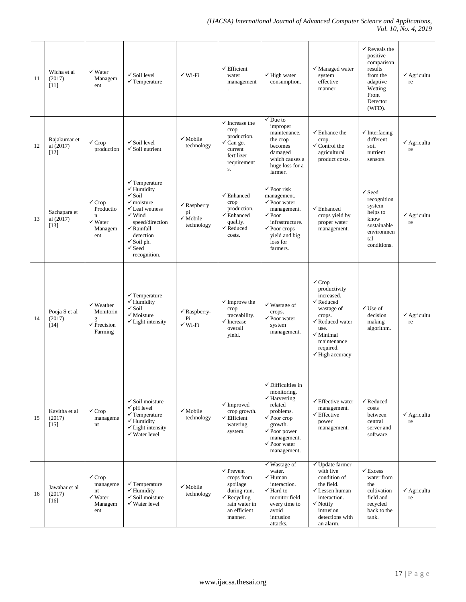| 11 | Wicha et al<br>(2017)<br>[11]       | $\checkmark$ Water<br>Managem<br>ent                                                  | $\checkmark$ Soil level<br>$\checkmark$ Temperature                                                                                                                                                                                                                      | $\checkmark$ Wi-Fi                                               | $\checkmark$ Efficient<br>water<br>management                                                                                        | $\checkmark$ High water<br>consumption.                                                                                                                                                                                 | $\checkmark$ Managed water<br>system<br>effective<br>manner.                                                                                                                                                            | $\checkmark$ Reveals the<br>positive<br>comparison<br>results<br>from the<br>adaptive<br>Wetting<br>Front<br>Detector<br>(WFD). | $\checkmark$ Agricultu<br>re |
|----|-------------------------------------|---------------------------------------------------------------------------------------|--------------------------------------------------------------------------------------------------------------------------------------------------------------------------------------------------------------------------------------------------------------------------|------------------------------------------------------------------|--------------------------------------------------------------------------------------------------------------------------------------|-------------------------------------------------------------------------------------------------------------------------------------------------------------------------------------------------------------------------|-------------------------------------------------------------------------------------------------------------------------------------------------------------------------------------------------------------------------|---------------------------------------------------------------------------------------------------------------------------------|------------------------------|
| 12 | Rajakumar et<br>al (2017)<br>[12]   | $\checkmark$ Crop<br>production                                                       | $\checkmark$ Soil level<br>$\checkmark$ Soil nutrient                                                                                                                                                                                                                    | $\checkmark$ Mobile<br>technology                                | $\checkmark$ Increase the<br>crop<br>production.<br>$\checkmark$ Can get<br>current<br>fertilizer<br>requirement<br>${\bf S}$ .      | $\checkmark$ Due to<br>improper<br>maintenance,<br>the crop<br>becomes<br>damaged<br>which causes a<br>huge loss for a<br>farmer.                                                                                       | $\checkmark$ Enhance the<br>crop.<br>$\checkmark$ Control the<br>agricultural<br>product costs.                                                                                                                         | $\checkmark$ Interfacing<br>different<br>soil<br>nutrient<br>sensors.                                                           | $\checkmark$ Agricultu<br>re |
| 13 | Sachapara et<br>al (2017)<br>$[13]$ | $\checkmark$ Crop<br>Productio<br>$\mathbf n$<br>$\checkmark$ Water<br>Managem<br>ent | $\checkmark$ Temperature<br>$\checkmark$ Humidity<br>$\checkmark$ Soil<br>$\checkmark$ moisture<br>$\checkmark$ Leaf wetness<br>$\checkmark$ Wind<br>speed/direction<br>$\checkmark$ Rainfall<br>detection<br>$\checkmark$ Soil ph.<br>$\checkmark$ Seed<br>recognition. | $\checkmark$ Raspberry<br>pi<br>$\sqrt{\ }$ Mobile<br>technology | $\checkmark$ Enhanced<br>crop<br>production.<br>$\checkmark$ Enhanced<br>quality.<br>$\checkmark$ Reduced<br>costs.                  | $\checkmark$ Poor risk<br>management.<br>$\checkmark$ Poor water<br>management.<br>$\sqrt{P_{\text{OOT}}}$<br>infrastructure.<br>$\checkmark$ Poor crops<br>yield and big<br>loss for<br>farmers.                       | $\checkmark$ Enhanced<br>crops yield by<br>proper water<br>management.                                                                                                                                                  | $\checkmark$ Seed<br>recognition<br>system<br>helps to<br>know<br>sustainable<br>environmen<br>tal<br>conditions.               | $\checkmark$ Agricultu<br>re |
| 14 | Pooja S et al<br>(2017)<br>$[14]$   | $\checkmark$ Weather<br>Monitorin<br>g<br>$\checkmark$ Precision<br>Farming           | $\checkmark$ Temperature<br>$\checkmark$ Humidity<br>$\checkmark$ Soil<br>$\checkmark$ Moisture<br>$\checkmark$ Light intensity                                                                                                                                          | $\checkmark$ Raspberry-<br>Pi<br>$\checkmark$ Wi-Fi              | $\checkmark$ Improve the<br>crop<br>traceability.<br>$\checkmark$ Increase<br>overall<br>yield.                                      | $\checkmark$ Wastage of<br>crops.<br>$\checkmark$ Poor water<br>system<br>management.                                                                                                                                   | $\checkmark$ Crop<br>productivity<br>increased.<br>$\checkmark$ Reduced<br>wastage of<br>crops.<br>$\checkmark$ Reduced water<br>use.<br>$\checkmark$ Minimal<br>maintenance<br>required.<br>$\checkmark$ High accuracy | $\checkmark$ Use of<br>decision<br>making<br>algorithm.                                                                         | $\checkmark$ Agricultu<br>re |
| 15 | Kavitha et al<br>(2017)<br>$[15]$   | $\checkmark$ Crop<br>manageme<br>nt                                                   | $\checkmark$ Soil moisture<br>$\checkmark$ pH level<br>$\checkmark$ Temperature<br>$\checkmark$ Humidity<br>$\checkmark$ Light intensity<br>$\checkmark$ Water level                                                                                                     | $\checkmark$ Mobile<br>technology                                | $\checkmark$ Improved<br>crop growth.<br>$\checkmark$ Efficient<br>watering<br>system.                                               | $\checkmark$ Difficulties in<br>monitoring.<br>$\checkmark$ Harvesting<br>related<br>problems.<br>$\checkmark$ Poor crop<br>growth.<br>$\checkmark$ Poor power<br>management.<br>$\checkmark$ Poor water<br>management. | $\checkmark$ Effective water<br>management.<br>$\checkmark$ Effective<br>power<br>management.                                                                                                                           | $\checkmark$ Reduced<br>costs<br>between<br>central<br>server and<br>software.                                                  | $\checkmark$ Agricultu<br>re |
| 16 | Jawahar et al<br>(2017)<br>$[16]$   | $\checkmark$ Crop<br>manageme<br>nt<br>$\checkmark$ Water<br>Managem<br>ent           | $\checkmark$ Temperature<br>$\checkmark$ Humidity<br>$\checkmark$ Soil moisture<br>$\checkmark$ Water level                                                                                                                                                              | $\checkmark$ Mobile<br>technology                                | $\checkmark$ Prevent<br>crops from<br>spoilage<br>during rain.<br>$\checkmark$ Recycling<br>rain water in<br>an efficient<br>manner. | $\checkmark$ Wastage of<br>water.<br>$\checkmark$ Human<br>interaction.<br>$\checkmark$ Hard to<br>monitor field<br>every time to<br>avoid<br>intrusion<br>attacks.                                                     | $\checkmark$ Update farmer<br>with live<br>condition of<br>the field.<br>$\checkmark$ Lessen human<br>interaction.<br>$\checkmark$ Notify<br>intrusion<br>detections with<br>an alarm.                                  | $\checkmark$ Excess<br>water from<br>the<br>cultivation<br>field and<br>recycled<br>back to the<br>tank.                        | $\checkmark$ Agricultu<br>re |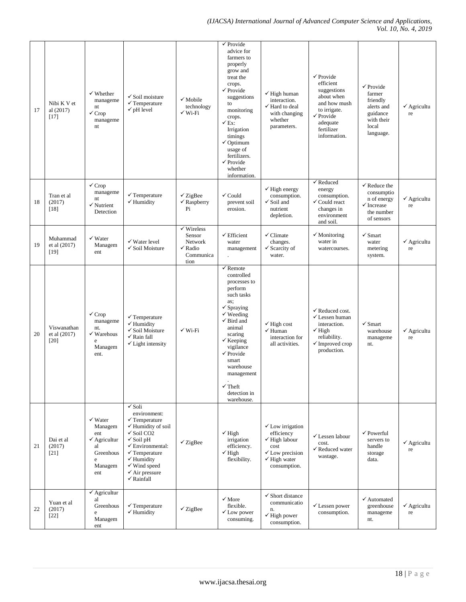*(IJACSA) International Journal of Advanced Computer Science and Applications, Vol. 10, No. 4, 2019*

| 17 | Nibi K V et<br>al (2017)<br>$[17]$    | $\checkmark$ Whether<br>manageme<br>nt<br>$\checkmark$ Crop<br>manageme<br>nt                             | $\checkmark$ Soil moisture<br>$\checkmark$ Temperature<br>$\checkmark$ pH level                                                                                                                                                                                                                                           | $\checkmark$ Mobile<br>technology<br>$\checkmark$ Wi-Fi                               | $\checkmark$ Provide<br>advice for<br>farmers to<br>properly<br>grow and<br>treat the<br>crops.<br>$\checkmark$ Provide<br>suggestions<br>to<br>monitoring<br>crops.<br>$\checkmark$ Ex:<br>Irrigation<br>timings<br>$\checkmark$ Optimum<br>usage of<br>fertilizers.<br>$\checkmark$ Provide<br>whether<br>information.              | $\checkmark$ High human<br>interaction.<br>$\checkmark$ Hard to deal<br>with changing<br>whether<br>parameters.                                        | $\checkmark$ Provide<br>efficient<br>suggestions<br>about when<br>and how mush<br>to irrigate.<br>$\checkmark$ Provide<br>adequate<br>fertilizer<br>information. | $\checkmark$ Provide<br>farmer<br>friendly<br>alerts and<br>guidance<br>with their<br>local<br>language.  | $\checkmark$ Agricultu<br>re |
|----|---------------------------------------|-----------------------------------------------------------------------------------------------------------|---------------------------------------------------------------------------------------------------------------------------------------------------------------------------------------------------------------------------------------------------------------------------------------------------------------------------|---------------------------------------------------------------------------------------|---------------------------------------------------------------------------------------------------------------------------------------------------------------------------------------------------------------------------------------------------------------------------------------------------------------------------------------|--------------------------------------------------------------------------------------------------------------------------------------------------------|------------------------------------------------------------------------------------------------------------------------------------------------------------------|-----------------------------------------------------------------------------------------------------------|------------------------------|
| 18 | Tran et al<br>(2017)<br>[18]          | $\checkmark$ Crop<br>manageme<br>nt<br>$\checkmark$ Nutrient<br>Detection                                 | $\checkmark$ Temperature<br>$\checkmark$ Humidity                                                                                                                                                                                                                                                                         | $\checkmark$ ZigBee<br>$\checkmark$ Raspberry<br>Pi                                   | $\checkmark$ Could<br>prevent soil<br>erosion.                                                                                                                                                                                                                                                                                        | $\checkmark$ High energy<br>consumption.<br>$\checkmark$ Soil and<br>nutrient<br>depletion.                                                            | $\checkmark$ Reduced<br>energy<br>consumption.<br>$\checkmark$ Could react<br>changes in<br>environment<br>and soil.                                             | $\checkmark$ Reduce the<br>consumptio<br>n of energy<br>$\checkmark$ Increase<br>the number<br>of sensors | $\checkmark$ Agricultu<br>re |
| 19 | Muhammad<br>et al (2017)<br>$[19]$    | $\checkmark$ Water<br>Managem<br>ent                                                                      | $\checkmark$ Water level<br>$\checkmark$ Soil Moisture                                                                                                                                                                                                                                                                    | $\checkmark$ Wireless<br>Sensor<br>Network<br>$\checkmark$ Radio<br>Communica<br>tion | $\checkmark$ Efficient<br>water<br>management                                                                                                                                                                                                                                                                                         | $\checkmark$ Climate<br>changes.<br>$\checkmark$ Scarcity of<br>water.                                                                                 | $\checkmark$ Monitoring<br>water in<br>watercourses.                                                                                                             | $\checkmark$ Smart<br>water<br>metering<br>system.                                                        | $\checkmark$ Agricultu<br>re |
| 20 | Viswanathan<br>et al (2017)<br>$[20]$ | $\checkmark$ Crop<br>manageme<br>nt.<br>√ Warehous<br>e<br>Managem<br>ent.                                | $\checkmark$ Temperature<br>$\checkmark$ Humidity<br>$\checkmark$ Soil Moisture<br>$\checkmark$ Rain fall<br>$\checkmark$ Light intensity                                                                                                                                                                                 | $\checkmark$ Wi-Fi                                                                    | $\checkmark$ Remote<br>controlled<br>processes to<br>perform<br>such tasks<br>as;<br>$\checkmark$ Spraying<br>$\checkmark$ Weeding<br>$\checkmark$ Bird and<br>animal<br>scaring<br>$\checkmark$ Keeping<br>vigilance<br>$\checkmark$ Provide<br>smart<br>warehouse<br>management<br>$\checkmark$ Theft<br>detection in<br>warehouse. | $\checkmark$ High cost<br>$\checkmark$ Human<br>interaction for<br>all activities.                                                                     | $\checkmark$ Reduced cost.<br>$\checkmark$ Lessen human<br>interaction.<br>$\checkmark$ High<br>reliability.<br>$\checkmark$ Improved crop<br>production.        | $\checkmark$ Smart<br>warehouse<br>manageme<br>nt.                                                        | $\checkmark$ Agricultu<br>re |
| 21 | Dai et al<br>(2017)<br>$[21]$         | $\checkmark$ Water<br>Managem<br>ent<br>$\checkmark$ Agricultur<br>al<br>Greenhous<br>e<br>Managem<br>ent | $\sqrt{\mathrm{Soli}}$<br>environment:<br>$\checkmark$ Temperature<br>$\checkmark$ Humidity of soil<br>$\checkmark$ Soil CO2<br>$\checkmark$ Soil pH<br>$\checkmark$ Environmental:<br>$\checkmark$ Temperature<br>$\checkmark$ Humidity<br>$\checkmark$ Wind speed<br>$\checkmark$ Air pressure<br>$\checkmark$ Rainfall | $\checkmark$ ZigBee                                                                   | $\checkmark$ High<br>irrigation<br>efficiency.<br>$\checkmark$ High<br>flexibility.                                                                                                                                                                                                                                                   | $\checkmark$ Low irrigation<br>efficiency<br>$\checkmark$ High labour<br>cost<br>$\checkmark$ Low precision<br>$\checkmark$ High water<br>consumption. | √ Lessen labour<br>cost.<br>√ Reduced water<br>wastage.                                                                                                          | $\checkmark$ Powerful<br>servers to<br>handle<br>storage<br>data.                                         | $\checkmark$ Agricultu<br>re |
| 22 | Yuan et al<br>(2017)<br>$[22]$        | $\checkmark$ Agricultur<br>al<br>Greenhous<br>e<br>Managem<br>ent                                         | $\checkmark$ Temperature<br>$\checkmark$ Humidity                                                                                                                                                                                                                                                                         | $\checkmark$ ZigBee                                                                   | $\checkmark$ More<br>flexible.<br>$\checkmark$ Low power<br>consuming.                                                                                                                                                                                                                                                                | $\checkmark$ Short distance<br>communicatio<br>n.<br>$\checkmark$ High power<br>consumption.                                                           | $\checkmark$ Lessen power<br>consumption.                                                                                                                        | $\checkmark$ Automated<br>greenhouse<br>manageme<br>nt.                                                   | $\checkmark$ Agricultu<br>re |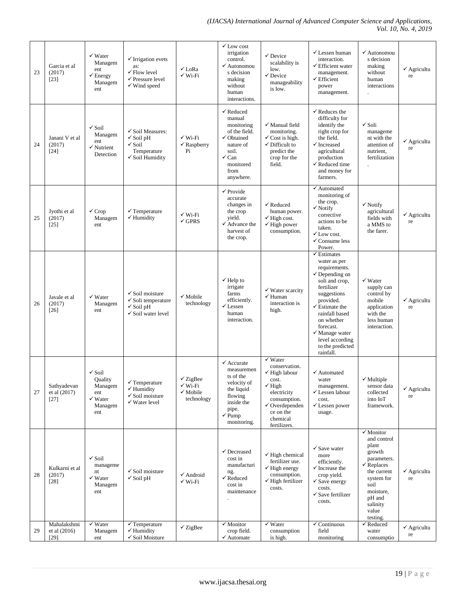| 23 | Garcia et al<br>(2017)<br>$[23]$      | $\checkmark$ Water<br>Managem<br>ent<br>$\checkmark$ Energy<br>Managem<br>ent          | $\checkmark$ Irrigation evets<br>as:<br>$\checkmark$ Flow level<br>$\checkmark$ Pressure level<br>$\checkmark$ Wind speed | $\checkmark$ LoRa<br>$\checkmark$ Wi-Fi                                        | $\checkmark$ Low cost<br>irrigation<br>control.<br>$\checkmark$ Autonomou<br>s decision<br>making<br>without<br>human<br>interactions.                             | $\checkmark$ Device<br>scalability is<br>low.<br>$\checkmark$ Device<br>manageability<br>is low.                                                                                                   | $\checkmark$ Lessen human<br>interaction.<br>$\checkmark$ Efficient water<br>management.<br>$\checkmark$ Efficient<br>power<br>management.                                                                                                                                                                  | $\checkmark$ Autonomou<br>s decision<br>making<br>without<br>human<br>interactions                                                                                                          | $\checkmark$ Agricultu<br>re |
|----|---------------------------------------|----------------------------------------------------------------------------------------|---------------------------------------------------------------------------------------------------------------------------|--------------------------------------------------------------------------------|--------------------------------------------------------------------------------------------------------------------------------------------------------------------|----------------------------------------------------------------------------------------------------------------------------------------------------------------------------------------------------|-------------------------------------------------------------------------------------------------------------------------------------------------------------------------------------------------------------------------------------------------------------------------------------------------------------|---------------------------------------------------------------------------------------------------------------------------------------------------------------------------------------------|------------------------------|
| 24 | Janani V et al<br>(2017)<br>$[24]$    | $\sqrt{\text{Soil}}$<br>Managem<br>ent<br>$\checkmark$ Nutrient<br>Detection           | √ Soil Measures:<br>$\checkmark$ Soil pH<br>$\checkmark$ Soil<br>Temperature<br>$\checkmark$ Soil Humidity                | $\checkmark$ Wi-Fi<br>$\checkmark$ Raspberry<br>Pi                             | $\checkmark$ Reduced<br>manual<br>monitoring<br>of the field.<br>$\checkmark$ Obtained<br>nature of<br>soil.<br>$\checkmark$ Can<br>monitored<br>from<br>anywhere. | $\checkmark$ Manual field<br>monitoring.<br>$\checkmark$ Cost is high.<br>$\checkmark$ Difficult to<br>predict the<br>crop for the<br>field.                                                       | $\checkmark$ Reduces the<br>difficulty for<br>identify the<br>right crop for<br>the field.<br>$\checkmark$ Increased<br>agricultural<br>production<br>$\checkmark$ Reduced time<br>and money for<br>farmers.                                                                                                | $\checkmark$ Soli<br>manageme<br>nt with the<br>attention of<br>nutrient,<br>fertilization                                                                                                  | $\checkmark$ Agricultu<br>re |
| 25 | Jyothi et al<br>(2017)<br>$[25]$      | $\checkmark$ Crop<br>Managem<br>ent                                                    | $\checkmark$ Temperature<br>$\checkmark$ Humidity                                                                         | $\checkmark$ Wi-Fi<br>$\checkmark$ GPRS                                        | $\checkmark$ Provide<br>accurate<br>changes in<br>the crop<br>yield.<br>$\checkmark$ Advance the<br>harvest of<br>the crop.                                        | $\checkmark$ Reduced<br>human power.<br>$\checkmark$ High cost.<br>$\checkmark$ High power<br>consumption.                                                                                         | ✔ Automated<br>monitoring of<br>the crop.<br>$\checkmark$ Notify<br>corrective<br>actions to be<br>taken.<br>$\checkmark$ Low cost.<br>$\checkmark$ Consume less<br>Power.                                                                                                                                  | $\checkmark$ Notify<br>agricultural<br>fields with<br>a MMS to<br>the farer.                                                                                                                | $\checkmark$ Agricultu<br>re |
| 26 | Javale et al<br>(2017)<br>$[26]$      | $\checkmark$ Water<br>Managem<br>ent                                                   | $\checkmark$ Soil moisture<br>$\checkmark$ Soli temperature<br>$\checkmark$ Soil pH<br>$\checkmark$ Soil water level      | $\checkmark$ Mobile<br>technology                                              | $\checkmark$ Help to<br>irrigate<br>farms<br>efficiently.<br>$\checkmark$ Lessen<br>human<br>interaction.                                                          | √ Water scarcity<br>$\checkmark$ Human<br>interaction is<br>high.                                                                                                                                  | $\checkmark$ Estimates<br>water as per<br>requirements.<br>$\checkmark$ Depending on<br>soli and crop,<br>fertilizer<br>suggestions<br>provided.<br>$\checkmark$ Estimate the<br>rainfall based<br>on whether<br>forecast.<br>$\checkmark$ Manage water<br>level according<br>to the predicted<br>rainfall. | $\checkmark$ Water<br>supply can<br>control by<br>mobile<br>application<br>with the<br>less human<br>interaction.                                                                           | $\checkmark$ Agricultu<br>re |
| 27 | Sathyadevan<br>et al (2017)<br>$[27]$ | $\checkmark$ Soil<br>Quality<br>Managem<br>ent<br>$\checkmark$ Water<br>Managem<br>ent | $\checkmark$ Temperature<br>$\checkmark$ Humidity<br>$\checkmark$ Soil moisture<br>$\checkmark$ Water level               | $\checkmark$ ZigBee<br>$\checkmark$ Wi-Fi<br>$\checkmark$ Mobile<br>technology | $\checkmark$ Accurate<br>measuremen<br>ts of the<br>velocity of<br>the liquid<br>flowing<br>inside the<br>pipe.<br>$\checkmark$ Pump<br>monitoring.                | $\checkmark$ Water<br>conservation.<br>$\checkmark$ High labour<br>cost.<br>$\checkmark$ High<br>electricity<br>consumption.<br>$\checkmark$ Overdependen<br>ce on the<br>chemical<br>fertilizers. | $\checkmark$ Automated<br>water<br>management.<br>√ Lessen labour<br>cost.<br>$\checkmark$ Lessen power<br>usage.                                                                                                                                                                                           | $\checkmark$ Multiple<br>sensor data<br>collected<br>into IoT<br>framework.                                                                                                                 | $\checkmark$ Agricultu<br>re |
| 28 | Kulkarni et al<br>(2017)<br>$[28]$    | $\checkmark$ Soil<br>manageme<br>nt<br>$\checkmark$ Water<br>Managem<br>ent            | $\checkmark$ Soil moisture<br>$\checkmark$ Soil pH                                                                        | $\checkmark$ Android<br>$\checkmark$ Wi-Fi                                     | $\checkmark$ Decreased<br>cost in<br>manufacturi<br>ng.<br>$\checkmark$ Reduced<br>cost in<br>maintenance                                                          | $\checkmark$ High chemical<br>fertilizer use.<br>$\checkmark$ High energy<br>consumption.<br>$\checkmark$ High fertilizer<br>costs.                                                                | $\checkmark$ Save water<br>more<br>efficiently.<br>$\checkmark$ Increase the<br>crop yield.<br>$\checkmark$ Save energy<br>costs.<br>√ Save fertilizer<br>costs.                                                                                                                                            | $\checkmark$ Monitor<br>and control<br>plant<br>growth<br>parameters.<br>$\checkmark$ Replaces<br>the current<br>system for<br>soil<br>moisture,<br>pH and<br>salinity<br>value<br>testing. | $\checkmark$ Agricultu<br>re |
| 29 | Mahalakshmi<br>et al (2016)<br>$[29]$ | $\sqrt{\text{Water}}$<br>Managem<br>ent                                                | $\checkmark$ Temperature<br>$\checkmark$ Humidity<br>√ Soil Moisture                                                      | $\checkmark$ ZigBee                                                            | $\checkmark$ Monitor<br>crop field.<br>$\checkmark$ Automate                                                                                                       | $\sqrt{\text{Water}}$<br>consumption<br>is high.                                                                                                                                                   | $\checkmark$ Continuous<br>field<br>monitoring                                                                                                                                                                                                                                                              | $\checkmark$ Reduced<br>water<br>consumptio                                                                                                                                                 | $\checkmark$ Agricultu<br>re |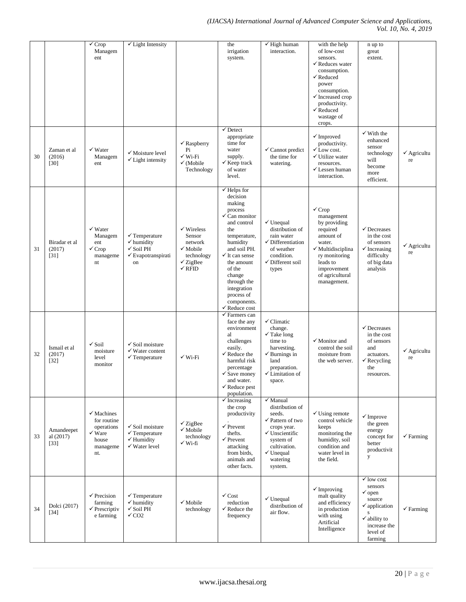### *(IJACSA) International Journal of Advanced Computer Science and Applications, Vol. 10, No. 4, 2019*

|    |                                   | $\checkmark$ Crop<br>Managem<br>ent                                                                 | $\checkmark$ Light Intensity                                                                                     |                                                                                                                             | the<br>irrigation<br>system.                                                                                                                                                                                                                                                                                | $\checkmark$ High human<br>interaction.                                                                                                                                                                 | with the help<br>of low-cost<br>sensors.<br>$\checkmark$ Reduces water<br>consumption.<br>$\checkmark$ Reduced<br>power<br>consumption.<br>$\checkmark$ Increased crop<br>productivity.<br>$\checkmark$ Reduced<br>wastage of<br>crops. | n up to<br>great<br>extent.                                                                                                                                                |                              |
|----|-----------------------------------|-----------------------------------------------------------------------------------------------------|------------------------------------------------------------------------------------------------------------------|-----------------------------------------------------------------------------------------------------------------------------|-------------------------------------------------------------------------------------------------------------------------------------------------------------------------------------------------------------------------------------------------------------------------------------------------------------|---------------------------------------------------------------------------------------------------------------------------------------------------------------------------------------------------------|-----------------------------------------------------------------------------------------------------------------------------------------------------------------------------------------------------------------------------------------|----------------------------------------------------------------------------------------------------------------------------------------------------------------------------|------------------------------|
| 30 | Zaman et al<br>(2016)<br>$[30]$   | $\checkmark$ Water<br>Managem<br>ent                                                                | $\checkmark$ Moisture level<br>$\checkmark$ Light intensity                                                      | $\checkmark$ Raspberry<br>Pi<br>$\checkmark$ Wi-Fi<br>$\checkmark$ (Mobile<br>Technology                                    | $\checkmark$ Detect<br>appropriate<br>time for<br>water<br>supply.<br>$\checkmark$ Keep track<br>of water<br>level.                                                                                                                                                                                         | $\checkmark$ Cannot predict<br>the time for<br>watering.                                                                                                                                                | $\checkmark$ Improved<br>productivity.<br>$\checkmark$ Low cost.<br>$\checkmark$ Utilize water<br>resources.<br>$\checkmark$ Lessen human<br>interaction.                                                                               | $\checkmark$ With the<br>enhanced<br>sensor<br>technology<br>will<br>become<br>more<br>efficient.                                                                          | $\checkmark$ Agricultu<br>re |
| 31 | Biradar et al<br>(2017)<br>$[31]$ | $\checkmark$ Water<br>Managem<br>ent<br>$\checkmark$ Crop<br>manageme<br>nt                         | $\checkmark$ Temperature<br>$\checkmark$ humidity<br>$\checkmark$ Soil PH<br>$\checkmark$ Evapotranspirati<br>on | $\checkmark$ Wireless<br>Sensor<br>network<br>$\checkmark$ Mobile<br>technology<br>$\checkmark$ ZigBee<br>$\checkmark$ RFID | $\checkmark$ Helps for<br>decision<br>making<br>process<br>$\checkmark$ Can monitor<br>and control<br>the<br>temperature,<br>humidity<br>and soil PH.<br>$\checkmark$ It can sense<br>the amount<br>of the<br>change<br>through the<br>integration<br>process of<br>components.<br>$\checkmark$ Reduce cost | $\checkmark$ Unequal<br>distribution of<br>rain water<br>$\checkmark$ Differentiation<br>of weather<br>condition.<br>$\checkmark$ Different soil<br>types                                               | $\checkmark$ Crop<br>management<br>by providing<br>required<br>amount of<br>water.<br>√ Multidisciplina<br>ry monitoring<br>leads to<br>improvement<br>of agricultural<br>management.                                                   | $\checkmark$ Decreases<br>in the cost<br>of sensors<br>$\checkmark$ Increasing<br>difficulty<br>of big data<br>analysis                                                    | $\checkmark$ Agricultu<br>re |
| 32 | Ismail et al<br>(2017)<br>$[32]$  | $\checkmark$ Soil<br>moisture<br>level<br>monitor                                                   | $\checkmark$ Soil moisture<br>$\checkmark$ Water content<br>$\checkmark$ Temperature                             | $\checkmark$ Wi-Fi                                                                                                          | $\checkmark$ Farmers can<br>face the any<br>environment<br>al<br>challenges<br>easily.<br>$\checkmark$ Reduce the<br>harmful risk<br>percentage<br>$\checkmark$ Save money<br>and water.<br>$\checkmark$ Reduce pest<br>population.                                                                         | $\checkmark$ Climatic<br>change.<br>$\checkmark$ Take long<br>time to<br>harvesting.<br>$\checkmark$ Burnings in<br>land<br>preparation.<br>$\checkmark$ Limitation of<br>space.                        | $\checkmark$ Monitor and<br>control the soil<br>moisture from<br>the web server.                                                                                                                                                        | $\checkmark$ Decreases<br>in the cost<br>of sensors<br>and<br>actuators.<br>$\checkmark$ Recycling<br>the<br>resources.                                                    | $\checkmark$ Agricultu<br>re |
| 33 | Amandeepet<br>al (2017)<br>$[33]$ | $\checkmark$ Machines<br>for routine<br>operations<br>$\checkmark$ Ware<br>house<br>manageme<br>nt. | $\checkmark$ Soil moisture<br>$\checkmark$ Temperature<br>$\checkmark$ Humidity<br>$\checkmark$ Water level      | $\checkmark$ ZigBee<br>$\checkmark$ Mobile<br>technology<br>√ Wi-fi                                                         | $\checkmark$ Increasing<br>the crop<br>productivity<br>$\checkmark$ Prevent<br>thefts.<br>$\checkmark$ Prevent<br>attacking<br>from birds,<br>animals and<br>other facts.                                                                                                                                   | $\checkmark$ Manual<br>distribution of<br>seeds.<br>$\checkmark$ Pattern of two<br>crops year.<br>$\checkmark$ Unscientific<br>system of<br>cultivation.<br>$\checkmark$ Unequal<br>watering<br>system. | $\checkmark$ Using remote<br>control vehicle<br>keeps<br>monitoring the<br>humidity, soil<br>condition and<br>water level in<br>the field.                                                                                              | $\checkmark$ Improve<br>the green<br>energy<br>concept for<br>better<br>productivit<br>y                                                                                   | $\checkmark$ Farming         |
| 34 | Dolci (2017)<br>$[34]$            | $\checkmark$ Precision<br>farming<br>$\checkmark$ Prescriptiv<br>e farming                          | $\checkmark$ Temperature<br>$\checkmark$ humidity<br>$\checkmark$ Soil PH<br>$\sqrt{CO2}$                        | $\checkmark$ Mobile<br>technology                                                                                           | $\checkmark$ Cost<br>reduction<br>$\checkmark$ Reduce the<br>frequency                                                                                                                                                                                                                                      | $\checkmark$ Unequal<br>distribution of<br>air flow.                                                                                                                                                    | $\checkmark$ Improving<br>malt quality<br>and efficiency<br>in production<br>with using<br>Artificial<br>Intelligence                                                                                                                   | $\checkmark$ low cost<br>sensors<br>$\checkmark$ open<br>source<br>$\checkmark$ application<br>${\bf S}$<br>$\checkmark$ ability to<br>increase the<br>level of<br>farming | $\checkmark$ Farming         |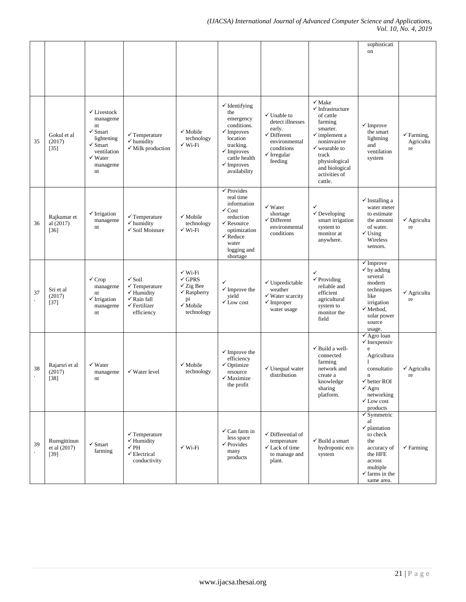|    |                                          |                                                                                                                                                           |                                                                                                                                           |                                                                                                                                      |                                                                                                                                                                                                  |                                                                                                                                                    |                                                                                                                                                                                                                                     | sophisticati<br>on                                                                                                                                                                                             |                                          |
|----|------------------------------------------|-----------------------------------------------------------------------------------------------------------------------------------------------------------|-------------------------------------------------------------------------------------------------------------------------------------------|--------------------------------------------------------------------------------------------------------------------------------------|--------------------------------------------------------------------------------------------------------------------------------------------------------------------------------------------------|----------------------------------------------------------------------------------------------------------------------------------------------------|-------------------------------------------------------------------------------------------------------------------------------------------------------------------------------------------------------------------------------------|----------------------------------------------------------------------------------------------------------------------------------------------------------------------------------------------------------------|------------------------------------------|
| 35 | Gokul et al<br>(2017)<br>$[35]$          | $\checkmark$ Livestock<br>manageme<br>nt<br>$\checkmark$ Smart<br>lightening<br>$\checkmark$ Smart<br>ventilation<br>$\checkmark$ Water<br>manageme<br>nt | $\checkmark$ Temperature<br>$\checkmark$ humidity<br>$\checkmark$ Milk production                                                         | $\checkmark$ Mobile<br>technology<br>$\checkmark$ Wi-Fi                                                                              | $\checkmark$ Identifying<br>the<br>emergency<br>conditions.<br>$\checkmark$ Improves<br>location<br>tracking.<br>$\checkmark$ Improves<br>cattle health<br>$\checkmark$ Improves<br>availability | $\checkmark$ Unable to<br>detect illnesses<br>early.<br>$\checkmark$ Different<br>environmental<br>conditions<br>$\checkmark$ Irregular<br>feeding | $\checkmark$ Make<br>$\checkmark$ Infrastructure<br>of cattle<br>farming<br>smarter.<br>$\checkmark$ implement a<br>noninvasive<br>$\checkmark$ wearable to<br>track<br>physiological<br>and biological<br>activities of<br>cattle. | $\checkmark$ Improve<br>the smart<br>lightning<br>and<br>ventilation<br>system                                                                                                                                 | $\checkmark$ Farming,<br>Agricultu<br>re |
| 36 | Rajkumar et<br>al $(2017)$<br>$[36]$     | $\checkmark$ Irrigation<br>manageme<br>nt                                                                                                                 | $\checkmark$ Temperature<br>$\checkmark$ humidity<br>$\checkmark$ Soil Moisture                                                           | $\checkmark$ Mobile<br>technology<br>$\checkmark$ Wi-Fi                                                                              | $\checkmark$ Provides<br>real time<br>information<br>$\checkmark$ Cost<br>reduction<br>$\checkmark$ Resource<br>optimization<br>$\checkmark$ Reduce<br>water<br>logging and<br>shortage          | $\checkmark$ Water<br>shortage<br>$\checkmark$ Different<br>environmental<br>conditions                                                            | ✓<br>$\checkmark$ Developing<br>smart irrigation<br>system to<br>monitor at<br>anywhere.                                                                                                                                            | $\checkmark$ Installing a<br>water meter<br>to estimate<br>the amount<br>of water.<br>$\checkmark$ Using<br>Wireless<br>sensors.                                                                               | $\checkmark$ Agricultu<br>re             |
| 37 | Sri et al<br>(2017)<br>$[37]$            | $\checkmark$ Crop<br>manageme<br>nt<br>$\checkmark$ Irrigation<br>manageme<br>nt                                                                          | $\checkmark$ Soil<br>$\checkmark$ Temperature<br>$\checkmark$ Humidity<br>$\checkmark$ Rain fall<br>$\checkmark$ Fertilizer<br>efficiency | $\checkmark$ Wi-Fi<br>$\checkmark$ GPRS<br>$\checkmark$ Zig Bee<br>$\checkmark$ Raspberry<br>pi<br>$\checkmark$ Mobile<br>technology | ✓<br>$\checkmark$ Improve the<br>yield<br>$\checkmark$ Low cost                                                                                                                                  | $\checkmark$ Unpredictable<br>weather<br>$\checkmark$ Water scarcity<br>$\checkmark$ Improper<br>water usage                                       | ✓<br>$\checkmark$ Providing<br>reliable and<br>efficient<br>agricultural<br>system to<br>monitor the<br>field                                                                                                                       | $\checkmark$ Improve<br>$\checkmark$ by adding<br>several<br>modern<br>techniques<br>like<br>irrigation<br>√ Method,<br>solar power<br>source<br>usage.                                                        | $\checkmark$ Agricultu<br>re             |
| 38 | Rajarsri et al<br>(2017)<br>$[38]$       | $\checkmark$ Water<br>manageme<br>nt                                                                                                                      | $\checkmark$ Water level                                                                                                                  | $\checkmark$ Mobile<br>technology                                                                                                    | $\checkmark$ Improve the<br>efficiency<br>$\checkmark$ Optimize<br>resource<br>$\checkmark$ Maximize<br>the profit                                                                               | $\checkmark$ Unequal water<br>distribution                                                                                                         | √ Build a well-<br>connected<br>farming<br>network and<br>create a<br>knowledge<br>sharing<br>platform.                                                                                                                             | $\checkmark$ Agro loan<br>$\checkmark$ Inexpensiv<br>e<br>Agricultura<br>1<br>consultatio<br>$\mathbf n$<br>$\checkmark$ better ROI<br>$\sqrt{\text{Agro}}$<br>networking<br>$\checkmark$ Low cost<br>products | $\checkmark$ Agricultu<br>re             |
| 39 | Ruengittinun<br>et al $(2017)$<br>$[39]$ | $\checkmark$ Smart<br>farming                                                                                                                             | $\checkmark$ Temperature<br>$\checkmark$ Humidity<br>$\sqrt{PH}$<br>$\checkmark$ Electrical<br>conductivity                               | $\checkmark$ Wi-Fi                                                                                                                   | $\checkmark$ Can farm in<br>less space<br>$\checkmark$ Provides<br>many<br>products                                                                                                              | $\checkmark$ Differential of<br>temperature<br>$\checkmark$ Lack of time<br>to manage and<br>plant.                                                | $\checkmark$ Build a smart<br>hydroponic eco<br>system                                                                                                                                                                              | $\checkmark$ Symmetric<br>al<br>$\checkmark$ plantation<br>to check<br>the<br>accuracy of<br>the HFE<br>across<br>multiple<br>$\checkmark$ farms in the<br>same area.                                          | $\checkmark$ Farming                     |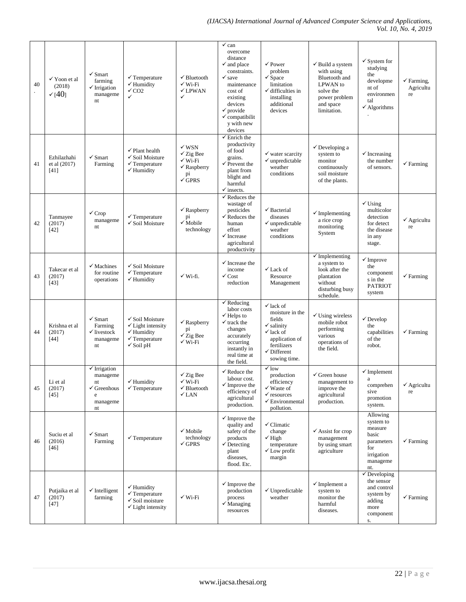| 40 | √ Yoon et al<br>(2018)<br>(40)      | $\checkmark$ Smart<br>farming<br>$\checkmark$ Irrigation<br>manageme<br>nt                 | $\checkmark$ Temperature<br>$\checkmark$ Humidity<br>$\sqrt{CQ2}$<br>$\checkmark$                                                       | $\checkmark$ Bluetooth<br>$\checkmark$ Wi-Fi<br>$\checkmark$ LPWAN<br>$\checkmark$                                     | $\checkmark$ can<br>overcome<br>distance<br>$\checkmark$ and place<br>constraints.<br>$\checkmark$ save<br>maintenance<br>cost of<br>existing<br>devices<br>$\checkmark$ provide<br>$\checkmark$ compatibilit<br>v with new<br>devices | $\checkmark$ Power<br>problem<br>$\checkmark$ Space<br>limitation<br>$\checkmark$ difficulties in<br>installing<br>additional<br>devices                                      | $\checkmark$ Build a system<br>with using<br>Bluetooth and<br><b>LPWAN</b> to<br>solve the<br>power problem<br>and space<br>limitation. | $\checkmark$ System for<br>studying<br>the<br>developme<br>nt of<br>environmen<br>tal<br>$\checkmark$ Algorithms | $\checkmark$ Farming,<br>Agricultu<br>re |
|----|-------------------------------------|--------------------------------------------------------------------------------------------|-----------------------------------------------------------------------------------------------------------------------------------------|------------------------------------------------------------------------------------------------------------------------|----------------------------------------------------------------------------------------------------------------------------------------------------------------------------------------------------------------------------------------|-------------------------------------------------------------------------------------------------------------------------------------------------------------------------------|-----------------------------------------------------------------------------------------------------------------------------------------|------------------------------------------------------------------------------------------------------------------|------------------------------------------|
| 41 | Ezhilazhahi<br>et al (2017)<br>[41] | $\checkmark$ Smart<br>Farming                                                              | $\checkmark$ Plant health<br>$\checkmark$ Soil Moisture<br>$\checkmark$ Temperature<br>$\checkmark$ Humidity                            | $\checkmark$ WSN<br>$\checkmark$ Zig Bee<br>$\checkmark$ Wi-Fi<br>$\checkmark$ Raspberry<br>pi<br>$\sqrt{\text{GPRS}}$ | $\checkmark$ Enrich the<br>productivity<br>of food<br>grains.<br>$\checkmark$ Prevent the<br>plant from<br>blight and<br>harmful<br>$\checkmark$ insects.                                                                              | $\checkmark$ water scarcity<br>$\checkmark$ unpredictable<br>weather<br>conditions                                                                                            | $\checkmark$ Developing a<br>system to<br>monitor<br>continuously<br>soil moisture<br>of the plants.                                    | $\checkmark$ Increasing<br>the number<br>of sensors.                                                             | $\checkmark$ Farming                     |
| 42 | Tanmayee<br>(2017)<br>$[42]$        | $\checkmark$ Crop<br>manageme<br>nt                                                        | $\checkmark$ Temperature<br>$\checkmark$ Soil Moisture                                                                                  | $\checkmark$ Raspberry<br>pi<br>$\checkmark$ Mobile<br>technology                                                      | $\checkmark$ Reduces the<br>wastage of<br>pesticides<br>$\checkmark$ Reduces the<br>human<br>effort<br>$\checkmark$ Increase<br>agricultural<br>productivity                                                                           | $\checkmark$ Bacterial<br>diseases<br>$\checkmark$ unpredictable<br>weather<br>conditions                                                                                     | $\checkmark$ Implementing<br>a rice crop<br>monitoring<br>System                                                                        | $\checkmark$ Using<br>multicolor<br>detection<br>for detect<br>the disease<br>in any<br>stage.                   | $\checkmark$ Agricultu<br>re             |
| 43 | Takecar et al<br>(2017)<br>$[43]$   | $\checkmark$ Machines<br>for routine<br>operations                                         | $\checkmark$ Soil Moisture<br>$\checkmark$ Temperature<br>$\checkmark$ Humidity                                                         | $\checkmark$ Wi-fi.                                                                                                    | $\checkmark$ Increase the<br>income<br>$\checkmark$ Cost<br>reduction                                                                                                                                                                  | $\checkmark$ Lack of<br>Resource<br>Management                                                                                                                                | $\checkmark$ Implementing<br>a system to<br>look after the<br>plantation<br>without<br>disturbing busy<br>schedule.                     | $\checkmark$ Improve<br>the<br>component<br>s in the<br><b>PATRIOT</b><br>system                                 | $\checkmark$ Farming                     |
| 44 | Krishna et al<br>(2017)<br>$[44]$   | $\checkmark$ Smart<br>Farming<br>$\checkmark$ livestock<br>manageme<br>nt                  | $\checkmark$ Soil Moisture<br>$\checkmark$ Light intensity<br>$\checkmark$ Humidity<br>$\checkmark$ Temperature<br>$\checkmark$ Soil pH | $\checkmark$ Raspberry<br>pi<br>$\checkmark$ Zig Bee<br>$\checkmark$ Wi-Fi                                             | $\checkmark$ Reducing<br>labor costs<br>$\checkmark$ Helps to<br>$\checkmark$ track the<br>changes<br>accurately<br>occurring<br>instantly in<br>real time at<br>the field.                                                            | $\checkmark$ lack of<br>moisture in the<br>fields<br>$\checkmark$ salinity<br>$\checkmark$ lack of<br>application of<br>fertilizers<br>$\checkmark$ Different<br>sowing time. | $\checkmark$ Using wireless<br>mobile robot<br>performing<br>various<br>operations of<br>the field.                                     | $\checkmark$ Develop<br>the<br>capabilities<br>of the<br>robot.                                                  | $\checkmark$ Farming                     |
| 45 | Li et al<br>(2017)<br>$[45]$        | $\checkmark$ Irrigation<br>manageme<br>nt<br>$\checkmark$ Greenhous<br>e<br>manageme<br>nt | $\checkmark$ Humidity<br>$\checkmark$ Temperature                                                                                       | $\checkmark$ Zig Bee<br>$\checkmark$ Wi-Fi<br>$\checkmark$ Bluetooth<br>$\checkmark$ LAN                               | $\checkmark$ Reduce the<br>labour cost.<br>$\checkmark$ Improve the<br>efficiency of<br>agricultural<br>production.                                                                                                                    | $\checkmark$ low<br>production<br>efficiency<br>$\checkmark$ Waste of<br>$\checkmark$ resources<br>$\checkmark$ Environmental<br>pollution.                                   | $\checkmark$ Green house<br>management to<br>improve the<br>agricultural<br>production.                                                 | $\checkmark$ Implement<br>$\mathbf{a}$<br>comprehen<br>sive<br>promotion<br>system.                              | $\checkmark$ Agricultu<br>re             |
| 46 | Suciu et al<br>(2016)<br>$[46]$     | $\checkmark$ Smart<br>Farming                                                              | $\checkmark$ Temperature                                                                                                                | $\checkmark$ Mobile<br>technology<br>$\checkmark$ GPRS                                                                 | $\checkmark$ Improve the<br>quality and<br>safety of the<br>products<br>$\checkmark$ Detecting<br>plant<br>diseases,<br>flood. Etc.                                                                                                    | $\checkmark$ Climatic<br>change<br>$\checkmark$ High<br>temperature<br>$\checkmark$ Low profit<br>margin                                                                      | $\checkmark$ Assist for crop<br>management<br>by using smart<br>agriculture                                                             | Allowing<br>system to<br>measure<br>basic<br>parameters<br>for<br>irrigation<br>manageme<br>nt.                  | $\checkmark$ Farming                     |
| 47 | Putjaika et al<br>(2017)<br>$[47]$  | $\checkmark$ Intelligent<br>farming                                                        | $\checkmark$ Humidity<br>$\checkmark$ Temperature<br>$\checkmark$ Soil moisture<br>$\checkmark$ Light intensity                         | $\checkmark$ Wi-Fi                                                                                                     | $\checkmark$ Improve the<br>production<br>process<br>$\checkmark$ Managing<br>resources                                                                                                                                                | $\checkmark$ Unpredictable<br>weather                                                                                                                                         | $\checkmark$ Implement a<br>system to<br>monitor the<br>harmful<br>diseases.                                                            | $\checkmark$ Developing<br>the sensor<br>and control<br>system by<br>adding<br>more<br>component<br>S.           | $\checkmark$ Farming                     |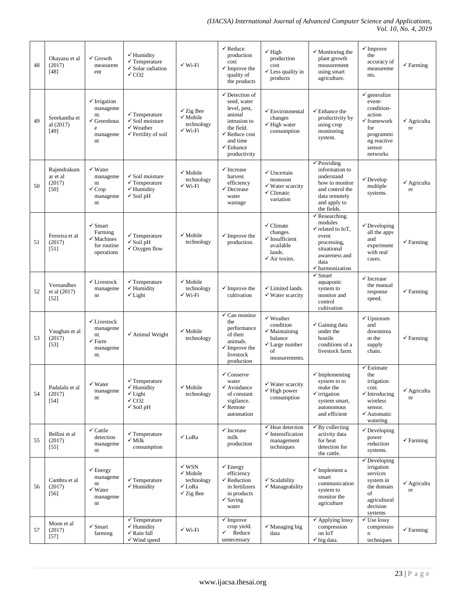| 48 | Okayasu et al<br>(2017)<br>$[48]$           | $\checkmark$ Growth<br>measurem<br>ent                                                      | $\checkmark$ Humidity<br>$\checkmark$ Temperature<br>$\checkmark$ Solar radiation<br>$\sqrt{CO2}$                | $\checkmark$ Wi-Fi                                                                      | $\checkmark$ Reduce<br>production<br>cost<br>$\checkmark$ Improve the<br>quality of<br>the products                                                                              | $\checkmark$ High<br>production<br>cost<br>$\checkmark$ Less quality in<br>products                                          | $\checkmark$ Monitoring the<br>plant growth<br>measurement<br>using smart<br>agriculture.                                                                         | $\checkmark$ Improve<br>the<br>accuracy of<br>measureme<br>nts.                                                                              | $\checkmark$ Farming         |
|----|---------------------------------------------|---------------------------------------------------------------------------------------------|------------------------------------------------------------------------------------------------------------------|-----------------------------------------------------------------------------------------|----------------------------------------------------------------------------------------------------------------------------------------------------------------------------------|------------------------------------------------------------------------------------------------------------------------------|-------------------------------------------------------------------------------------------------------------------------------------------------------------------|----------------------------------------------------------------------------------------------------------------------------------------------|------------------------------|
| 49 | Sreekantha et<br>al (2017)<br>$[49]$        | $\checkmark$ Irrigation<br>manageme<br>nt.<br>$\checkmark$ Greenhous<br>e<br>manageme<br>nt | $\checkmark$ Temperature<br>$\checkmark$ Soil moisture<br>$\checkmark$ Weather<br>$\checkmark$ Fertility of soil | $\checkmark$ Zig Bee<br>$\checkmark$ Mobile<br>technology<br>$\checkmark$ Wi-Fi         | $\checkmark$ Detection of<br>seed, water<br>level, pest,<br>animal<br>intrusion to<br>the field.<br>$\checkmark$ Reduce cost<br>and time<br>$\checkmark$ Enhance<br>productivity | $\checkmark$ Environmental<br>changes<br>$\checkmark$ High water<br>consumption                                              | $\checkmark$ Enhance the<br>productivity by<br>using crop<br>monitoring<br>system.                                                                                | $\checkmark$ generalize<br>event-<br>condition-<br>action<br>$\checkmark$ framework<br>for<br>programmi<br>ng reactive<br>sensor<br>networks | $\checkmark$ Agricultu<br>re |
| 50 | Rajendrakum<br>ar et al<br>(2017)<br>$[50]$ | $\checkmark$ Water<br>manageme<br>nt<br>$\checkmark$ Crop<br>manageme<br>nt                 | $\checkmark$ Soil moisture<br>$\checkmark$ Temperature<br>$\checkmark$ Humidity<br>$\checkmark$ Soil pH          | $\checkmark$ Mobile<br>technology<br>✔ Wi-Fi                                            | $\checkmark$ Increase<br>harvest<br>efficiency<br>$\checkmark$ Decrease<br>water<br>wastage                                                                                      | $\checkmark$ Uncertain<br>monsoon<br>$\checkmark$ Water scarcity<br>$\checkmark$ Climatic<br>variation                       | $\checkmark$ Providing<br>information to<br>understand<br>how to monitor<br>and control the<br>data remotely<br>and apply to<br>the fields.                       | $\checkmark$ Develop<br>multiple<br>systems.                                                                                                 | $\checkmark$ Agricultu<br>re |
| 51 | Ferreira et al<br>(2017)<br>[51]            | $\checkmark$ Smart<br>Farming<br>$\checkmark$ Machines<br>for routine<br>operations         | $\checkmark$ Temperature<br>$\checkmark$ Soil pH<br>$\checkmark$ Oxygen flow                                     | $\checkmark$ Mobile<br>technology                                                       | $\checkmark$ Improve the<br>production.                                                                                                                                          | $\checkmark$ Climate<br>changes.<br>$\checkmark$ Insufficient<br>available<br>lands.<br>$\checkmark$ Air toxins.             | $\checkmark$ Researching<br>modules<br>$\checkmark$ related to IoT,<br>event<br>processing,<br>situational<br>awareness and<br>data<br>$\checkmark$ harmonization | $\checkmark$ Developing<br>all the apps<br>and<br>experiment<br>with real<br>cases.                                                          | $\checkmark$ Farming         |
| 52 | Vernandhes<br>et al (2017)<br>$[52]$        | $\checkmark$ Livestock<br>manageme<br>nt                                                    | $\checkmark$ Temperature<br>$\checkmark$ Humidity<br>$\checkmark$ Light                                          | $\checkmark$ Mobile<br>technology<br>$\checkmark$ Wi-Fi                                 | $\checkmark$ Improve the<br>cultivation                                                                                                                                          | √ Limited lands.<br>$\checkmark$ Water scarcity                                                                              | $\checkmark$ Smart<br>aquaponic<br>system to<br>monitor and<br>control<br>cultivation                                                                             | $\checkmark$ Increase<br>the manual<br>response<br>speed.                                                                                    | $\checkmark$ Farming         |
| 53 | Vaughan et al<br>(2017)<br>$[53]$           | $\checkmark$ Livestock<br>manageme<br>nt.<br>$\checkmark$ Farm<br>manageme<br>nt.           | $\checkmark$ Animal Weight                                                                                       | $\checkmark$ Mobile<br>technology                                                       | $\checkmark$ Can monitor<br>the<br>performance<br>of their<br>animals.<br>$\checkmark$ Improve the<br>livestock<br>production                                                    | $\checkmark$ Weather<br>condition<br>$\checkmark$ Maintaining<br>balance<br>$\checkmark$ Large number<br>of<br>measurements. | $\checkmark$ Gaining data<br>under the<br>hostile<br>conditions of a<br>livestock farm.                                                                           | $\checkmark$ Upstream<br>and<br>downstrea<br>m the<br>supply<br>chain.                                                                       | $\checkmark$ Farming         |
| 54 | Padalalu et al<br>(2017)<br>$[54]$          | $\checkmark$ Water<br>manageme<br>nt                                                        | $\checkmark$ Temperature<br>$\checkmark$ Humidity<br>$\checkmark$ Light<br>$\sqrt{CO2}$<br>$\checkmark$ Soil pH  | $\checkmark$ Mobile<br>technology                                                       | $\checkmark$ Conserve<br>water<br>$\checkmark$ Avoidance<br>of constant<br>vigilance.<br>$\checkmark$ Remote<br>automation                                                       | $\checkmark$ Water scarcity<br>$\checkmark$ High power<br>consumption                                                        | $\checkmark$ Implementing<br>system to to<br>make the<br>$\checkmark$ irrigation<br>system smart,<br>autonomous<br>and efficient                                  | $\checkmark$ Estimate<br>the<br>irrigation<br>cost.<br>$\checkmark$ Introducing<br>wireless<br>sensor.<br>$\checkmark$ Automatic<br>watering | $\checkmark$ Agricultu<br>re |
| 55 | Bellini et al<br>(2017)<br>$[55]$           | $\checkmark$ Cattle<br>detection<br>manageme<br>nt                                          | $\checkmark$ Temperature<br>$\checkmark$ Milk<br>consumption                                                     | $\checkmark$ LoRa                                                                       | $\checkmark$ Increase<br>milk<br>production                                                                                                                                      | $\checkmark$ Heat detection<br>$\checkmark$ Intensification<br>management<br>techniques                                      | $\checkmark$ By collecting<br>activity data<br>for heat<br>detection for<br>the cattle.                                                                           | $\checkmark$ Developing<br>power<br>reduction<br>systems.                                                                                    | $\checkmark$ Farming         |
| 56 | Cambra et al<br>(2017)<br>$[56]$            | $\checkmark$ Energy<br>manageme<br>nt<br>$\checkmark$ Water<br>manageme<br>nt               | $\checkmark$ Temperature<br>$\checkmark$ Humidity                                                                | $\checkmark$ WSN<br>$\checkmark$ Mobile<br>technology<br>√ LoRa<br>$\checkmark$ Zig Bee | $\checkmark$ Energy<br>efficiency<br>$\checkmark$ Reduction<br>in fertilizers<br>in products<br>$\checkmark$ Saving<br>water                                                     | $\checkmark$ Scalability<br>$\checkmark$ Manageability                                                                       | $\checkmark$ Implement a<br>smart<br>communication<br>system to<br>monitor the<br>agriculture                                                                     | $\checkmark$ Developing<br>irrigation<br>services<br>system in<br>the domain<br>of<br>agricultural<br>decision<br>systems                    | $\checkmark$ Agricultu<br>re |
| 57 | Moon et al<br>(2017)<br>$[57]$              | $\checkmark$ Smart<br>farming                                                               | $\checkmark$ Temperature<br>$\checkmark$ Humidity<br>$\checkmark$ Rain fall<br>$\checkmark$ Wind speed           | $\checkmark$ Wi-Fi                                                                      | $\checkmark$ Improve<br>crop yield.<br>✓<br>Reduce<br>unnecessary                                                                                                                | $\checkmark$ Managing big<br>data                                                                                            | $\checkmark$ Applying lossy<br>compression<br>on IoT<br>$\checkmark$ big data.                                                                                    | $\checkmark$ Use lossy<br>compressio<br>$\mathbf n$<br>techniques                                                                            | $\checkmark$ Farming         |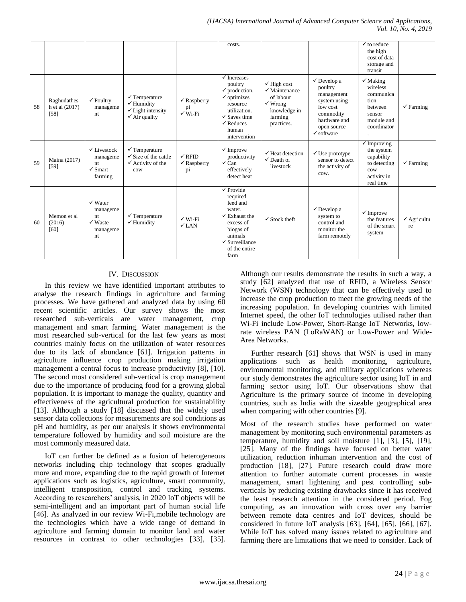|     |                                         |                                                                              |                                                                                                               |                                                   | costs.                                                                                                                                                                                          |                                                                                                                                |                                                                                                                                                  | $\checkmark$ to reduce<br>the high<br>cost of data<br>storage and<br>transit                           |                              |
|-----|-----------------------------------------|------------------------------------------------------------------------------|---------------------------------------------------------------------------------------------------------------|---------------------------------------------------|-------------------------------------------------------------------------------------------------------------------------------------------------------------------------------------------------|--------------------------------------------------------------------------------------------------------------------------------|--------------------------------------------------------------------------------------------------------------------------------------------------|--------------------------------------------------------------------------------------------------------|------------------------------|
| .58 | Raghudathes<br>h et al (2017)<br>$[58]$ | $\checkmark$ Poultry<br>manageme<br>nt                                       | $\checkmark$ Temperature<br>$\checkmark$ Humidity<br>$\checkmark$ Light intensity<br>$\checkmark$ Air quality | $\checkmark$ Raspberry<br>pi<br>$\sqrt{W_1-F_1}$  | $\checkmark$ Increases<br>poultry<br>$\checkmark$ production.<br>$\checkmark$ optimizes<br>resource<br>utilization.<br>$\checkmark$ Saves time<br>$\checkmark$ Reduces<br>human<br>intervention | $\checkmark$ High cost<br>$\checkmark$ Maintenance<br>of labour<br>$\checkmark$ Wrong<br>knowledge in<br>farming<br>practices. | $\checkmark$ Develop a<br>poultry<br>management<br>system using<br>low cost<br>commodity<br>hardware and<br>open source<br>$\checkmark$ software | $\checkmark$ Making<br>wireless<br>communica<br>tion<br>hetween<br>sensor<br>module and<br>coordinator | $\checkmark$ Farming         |
| 59  | Maina (2017)<br>$[59]$                  | $\checkmark$ Livestock<br>manageme<br>nt<br>$\checkmark$ Smart<br>farming    | $\checkmark$ Temperature<br>$\checkmark$ Size of the cattle<br>$\checkmark$ Activity of the<br>cow            | $\checkmark$ RFID<br>$\checkmark$ Raspberry<br>pi | $\checkmark$ Improve<br>productivity<br>$\checkmark$ Can<br>effectively<br>detect heat                                                                                                          | $\checkmark$ Heat detection<br>$\checkmark$ Death of<br>livestock                                                              | $\checkmark$ Use prototype<br>sensor to detect<br>the activity of<br>cow.                                                                        | $\checkmark$ Improving<br>the system<br>capability<br>to detecting<br>cow<br>activity in<br>real time  | $\checkmark$ Farming         |
| 60  | Memon et al<br>(2016)<br>[60]           | $\checkmark$ Water<br>manageme<br>nt<br>$\checkmark$ Waste<br>manageme<br>nt | $\checkmark$ Temperature<br>$\checkmark$ Humidity                                                             | $\checkmark$ Wi-Fi<br>$\sqrt{}$ LAN               | $\checkmark$ Provide<br>required<br>feed and<br>water.<br>$\checkmark$ Exhaust the<br>excess of<br>biogas of<br>animals<br>$\checkmark$ Surveillance<br>of the entire<br>farm                   | $\checkmark$ Stock theft                                                                                                       | $\checkmark$ Develop a<br>system to<br>control and<br>monitor the<br>farm remotely                                                               | $\checkmark$ Improve<br>the features<br>of the smart<br>system                                         | $\checkmark$ Agricultu<br>re |

## IV. DISCUSSION

In this review we have identified important attributes to analyse the research findings in agriculture and farming processes. We have gathered and analyzed data by using 60 recent scientific articles. Our survey shows the most researched sub-verticals are water management, crop management and smart farming. Water management is the most researched sub-vertical for the last few years as most countries mainly focus on the utilization of water resources due to its lack of abundance [61]. Irrigation patterns in agriculture influence crop production making irrigation management a central focus to increase productivity [8], [10]. The second most considered sub-vertical is crop management due to the importance of producing food for a growing global population. It is important to manage the quality, quantity and effectiveness of the agricultural production for sustainability [13]. Although a study [18] discussed that the widely used sensor data collections for measurements are soil conditions as pH and humidity, as per our analysis it shows environmental temperature followed by humidity and soil moisture are the most commonly measured data.

IoT can further be defined as a fusion of heterogeneous networks including chip technology that scopes gradually more and more, expanding due to the rapid growth of Internet applications such as logistics, agriculture, smart community, intelligent transposition, control and tracking systems. According to researchers' analysis, in 2020 IoT objects will be semi-intelligent and an important part of human social life [46]. As analyzed in our review Wi-Fi,mobile technology are the technologies which have a wide range of demand in agriculture and farming domain to monitor land and water resources in contrast to other technologies [33], [35]. Although our results demonstrate the results in such a way, a study [62] analyzed that use of RFID, a Wireless Sensor Network (WSN) technology that can be effectively used to increase the crop production to meet the growing needs of the increasing population. In developing countries with limited Internet speed, the other IoT technologies utilised rather than Wi-Fi include Low-Power, Short-Range IoT Networks, lowrate wireless PAN (LoRaWAN) or Low-Power and Wide-Area Networks.

Further research [61] shows that WSN is used in many applications such as health monitoring, agriculture, environmental monitoring, and military applications whereas our study demonstrates the agriculture sector using IoT in and farming sector using IoT. Our observations show that Agriculture is the primary source of income in developing countries, such as India with the sizeable geographical area when comparing with other countries [9].

Most of the research studies have performed on water management by monitoring such environmental parameters as temperature, humidity and soil moisture [1], [3], [5], [19], [25]. Many of the findings have focused on better water utilization, reduction inhuman intervention and the cost of production [18], [27]. Future research could draw more attention to further automate current processes in waste management, smart lightening and pest controlling subverticals by reducing existing drawbacks since it has received the least research attention in the considered period. Fog computing, as an innovation with cross over any barrier between remote data centres and IoT devices, should be considered in future IoT analysis [63], [64], [65], [66], [67]. While IoT has solved many issues related to agriculture and farming there are limitations that we need to consider. Lack of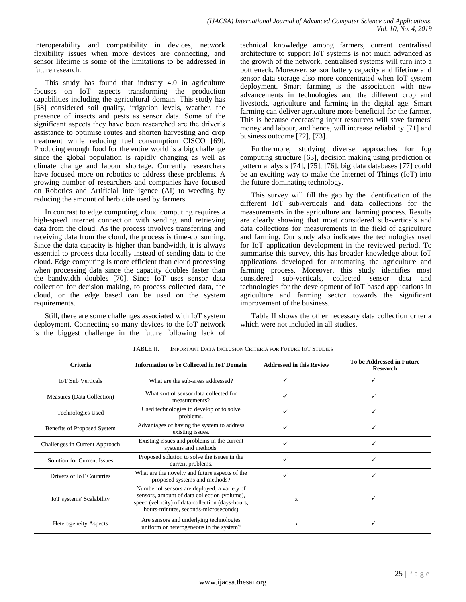interoperability and compatibility in devices, network flexibility issues when more devices are connecting, and sensor lifetime is some of the limitations to be addressed in future research.

This study has found that industry 4.0 in agriculture focuses on IoT aspects transforming the production capabilities including the agricultural domain. This study has [68] considered soil quality, irrigation levels, weather, the presence of insects and pests as sensor data. Some of the significant aspects they have been researched are the driver's assistance to optimise routes and shorten harvesting and crop treatment while reducing fuel consumption CISCO [69]. Producing enough food for the entire world is a big challenge since the global population is rapidly changing as well as climate change and labour shortage. Currently researchers have focused more on robotics to address these problems. A growing number of researchers and companies have focused on Robotics and Artificial Intelligence (AI) to weeding by reducing the amount of herbicide used by farmers.

In contrast to edge computing, cloud computing requires a high-speed internet connection with sending and retrieving data from the cloud. As the process involves transferring and receiving data from the cloud, the process is time-consuming. Since the data capacity is higher than bandwidth, it is always essential to process data locally instead of sending data to the cloud. Edge computing is more efficient than cloud processing when processing data since the capacity doubles faster than the bandwidth doubles [70]. Since IoT uses sensor data collection for decision making, to process collected data, the cloud, or the edge based can be used on the system requirements.

Still, there are some challenges associated with IoT system deployment. Connecting so many devices to the IoT network is the biggest challenge in the future following lack of technical knowledge among farmers, current centralised architecture to support IoT systems is not much advanced as the growth of the network, centralised systems will turn into a bottleneck. Moreover, sensor battery capacity and lifetime and sensor data storage also more concentrated when IoT system deployment. Smart farming is the association with new advancements in technologies and the different crop and livestock, agriculture and farming in the digital age. Smart farming can deliver agriculture more beneficial for the farmer. This is because decreasing input resources will save farmers' money and labour, and hence, will increase reliability [71] and business outcome [72], [73].

Furthermore, studying diverse approaches for fog computing structure [63], decision making using prediction or pattern analysis [74], [75], [76], big data databases [77] could be an exciting way to make the Internet of Things (IoT) into the future dominating technology.

This survey will fill the gap by the identification of the different IoT sub-verticals and data collections for the measurements in the agriculture and farming process. Results are clearly showing that most considered sub-verticals and data collections for measurements in the field of agriculture and farming. Our study also indicates the technologies used for IoT application development in the reviewed period. To summarise this survey, this has broader knowledge about IoT applications developed for automating the agriculture and farming process. Moreover, this study identifies most considered sub-verticals, collected sensor data and technologies for the development of IoT based applications in agriculture and farming sector towards the significant improvement of the business.

Table II shows the other necessary data collection criteria which were not included in all studies.

| <b>Criteria</b>                | <b>Information to be Collected in IoT Domain</b>                                                                                                                                         | <b>Addressed in this Review</b> | To be Addressed in Future<br><b>Research</b> |
|--------------------------------|------------------------------------------------------------------------------------------------------------------------------------------------------------------------------------------|---------------------------------|----------------------------------------------|
| <b>IoT Sub Verticals</b>       | What are the sub-areas addressed?                                                                                                                                                        |                                 |                                              |
| Measures (Data Collection)     | What sort of sensor data collected for<br>measurements?                                                                                                                                  |                                 |                                              |
| <b>Technologies Used</b>       | Used technologies to develop or to solve<br>problems.                                                                                                                                    |                                 |                                              |
| Benefits of Proposed System    | Advantages of having the system to address<br>existing issues.                                                                                                                           |                                 |                                              |
| Challenges in Current Approach | Existing issues and problems in the current<br>systems and methods.                                                                                                                      |                                 |                                              |
| Solution for Current Issues    | Proposed solution to solve the issues in the<br>current problems.                                                                                                                        |                                 |                                              |
| Drivers of IoT Countries       | What are the novelty and future aspects of the<br>proposed systems and methods?                                                                                                          |                                 |                                              |
| IoT systems' Scalability       | Number of sensors are deployed, a variety of<br>sensors, amount of data collection (volume),<br>speed (velocity) of data collection (days-hours,<br>hours-minutes, seconds-microseconds) | X                               |                                              |
| <b>Heterogeneity Aspects</b>   | Are sensors and underlying technologies<br>uniform or heterogeneous in the system?                                                                                                       | X                               |                                              |

TABLE II. IMPORTANT DATA INCLUSION CRITERIA FOR FUTURE IOT STUDIES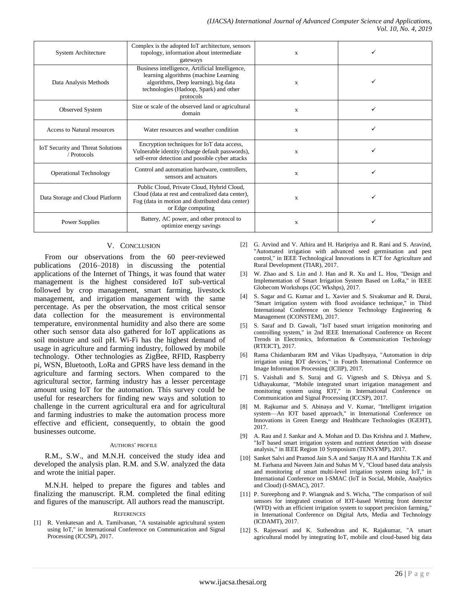| System Architecture                                     | Complex is the adopted IoT architecture, sensors<br>topology, information about intermediate<br>gateways                                                                                | X           |  |
|---------------------------------------------------------|-----------------------------------------------------------------------------------------------------------------------------------------------------------------------------------------|-------------|--|
| Data Analysis Methods                                   | Business intelligence, Artificial Intelligence,<br>learning algorithms (machine Learning<br>algorithms, Deep learning), big data<br>technologies (Hadoop, Spark) and other<br>protocols | X           |  |
| Observed System                                         | Size or scale of the observed land or agricultural<br>domain                                                                                                                            | $\mathbf x$ |  |
| Access to Natural resources                             | Water resources and weather condition                                                                                                                                                   | $\mathbf x$ |  |
| <b>IoT Security and Threat Solutions</b><br>/ Protocols | Encryption techniques for IoT data access,<br>Vulnerable identity (change default passwords),<br>self-error detection and possible cyber attacks                                        | X           |  |
| <b>Operational Technology</b>                           | Control and automation hardware, controllers,<br>sensors and actuators                                                                                                                  | X           |  |
| Data Storage and Cloud Platform                         | Public Cloud, Private Cloud, Hybrid Cloud,<br>Cloud (data at rest and centralized data center),<br>Fog (data in motion and distributed data center)<br>or Edge computing                | X           |  |
| <b>Power Supplies</b>                                   | Battery, AC power, and other protocol to<br>optimize energy savings                                                                                                                     | X           |  |

## V. CONCLUSION

From our observations from the 60 peer-reviewed publications (2016–2018) in discussing the potential applications of the Internet of Things, it was found that water management is the highest considered IoT sub-vertical followed by crop management, smart farming, livestock management, and irrigation management with the same percentage. As per the observation, the most critical sensor data collection for the measurement is environmental temperature, environmental humidity and also there are some other such sensor data also gathered for IoT applications as soil moisture and soil pH. Wi-Fi has the highest demand of usage in agriculture and farming industry, followed by mobile technology. Other technologies as ZigBee, RFID, Raspberry pi, WSN, Bluetooth, LoRa and GPRS have less demand in the agriculture and farming sectors. When compared to the agricultural sector, farming industry has a lesser percentage amount using IoT for the automation. This survey could be useful for researchers for finding new ways and solution to challenge in the current agricultural era and for agricultural and farming industries to make the automation process more effective and efficient, consequently, to obtain the good businesses outcome.

#### AUTHORS' PROFILE

R.M., S.W., and M.N.H. conceived the study idea and developed the analysis plan. R.M. and S.W. analyzed the data and wrote the initial paper.

M.N.H. helped to prepare the figures and tables and finalizing the manuscript. R.M. completed the final editing and figures of the manuscript. All authors read the manuscript.

#### **REFERENCES**

[1] R. Venkatesan and A. Tamilvanan, "A sustainable agricultural system using IoT," in International Conference on Communication and Signal Processing (ICCSP), 2017.

- [2] G. Arvind and V. Athira and H. Haripriya and R. Rani and S. Aravind, "Automated irrigation with advanced seed germination and pest control," in IEEE Technological Innovations in ICT for Agriculture and Rural Development (TIAR), 2017.
- [3] W. Zhao and S. Lin and J. Han and R. Xu and L. Hou, "Design and Implementation of Smart Irrigation System Based on LoRa," in IEEE Globecom Workshops (GC Wkshps), 2017.
- [4] S. Sagar and G. Kumar and L. Xavier and S. Sivakumar and R. Durai, "Smart irrigation system with flood avoidance technique," in Third International Conference on Science Technology Engineering & Management (ICONSTEM), 2017.
- [5] S. Saraf and D. Gawali, "IoT based smart irrigation monitoring and controlling system," in 2nd IEEE International Conference on Recent Trends in Electronics, Information & Communication Technology (RTEICT), 2017.
- [6] Rama Chidambaram RM and Vikas Upadhyaya, "Automation in drip irrigation using IOT devices," in Fourth International Conference on Image Information Processing (ICIIP), 2017.
- [7] S. Vaishali and S. Suraj and G. Vignesh and S. Dhivya and S. Udhayakumar, "Mobile integrated smart irrigation management and monitoring system using IOT," in International Conference on Communication and Signal Processing (ICCSP), 2017.
- [8] M. Rajkumar and S. Abinaya and V. Kumar, "Intelligent irrigation system—An IOT based approach," in International Conference on Innovations in Green Energy and Healthcare Technologies (IGEHT), 2017.
- [9] A. Rau and J. Sankar and A. Mohan and D. Das Krishna and J. Mathew, "IoT based smart irrigation system and nutrient detection with disease analysis," in IEEE Region 10 Symposium (TENSYMP), 2017.
- [10] Sanket Salvi and Pramod Jain S.A and Sanjay H.A and Harshita T.K and M. Farhana and Naveen Jain and Suhas M V, "Cloud based data analysis and monitoring of smart multi-level irrigation system using IoT," in International Conference on I-SMAC (IoT in Social, Mobile, Analytics and Cloud) (I-SMAC), 2017.
- [11] P. Sureephong and P. Wiangnak and S. Wicha, "The comparison of soil sensors for integrated creation of IOT-based Wetting front detector (WFD) with an efficient irrigation system to support precision farming," in International Conference on Digital Arts, Media and Technology (ICDAMT), 2017.
- [12] S. Rajeswari and K. Suthendran and K. Rajakumar, "A smart agricultural model by integrating IoT, mobile and cloud-based big data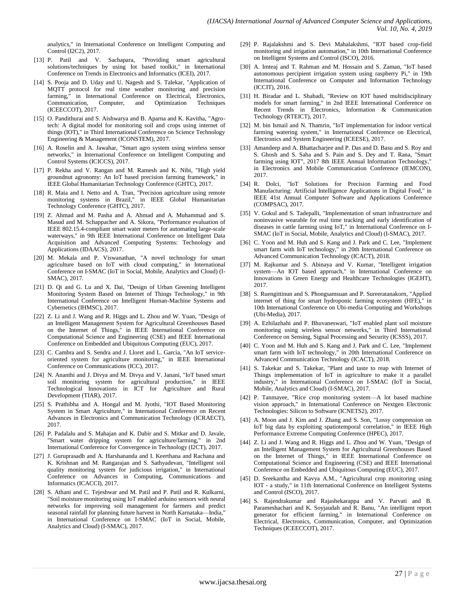analytics," in International Conference on Intelligent Computing and Control (I2C2), 2017.

- [13] P. Patil and V. Sachapara, "Providing smart agricultural solutions/techniques by using Iot based toolkit," in International Conference on Trends in Electronics and Informatics (ICEI), 2017.
- [14] S. Pooja and D. Uday and U. Nagesh and S. Talekar, "Application of MQTT protocol for real time weather monitoring and precision farming," in International Conference on Electrical, Electronics, Communication, Computer, and Optimization Techniques (ICEECCOT), 2017.
- [15] O. Pandithurai and S. Aishwarya and B. Aparna and K. Kavitha, "Agrotech: A digital model for monitoring soil and crops using internet of things (IOT)," in Third International Conference on Science Technology Engineering & Management (ICONSTEM), 2017.
- [16] A. Roselin and A. Jawahar, "Smart agro system using wireless sensor networks," in International Conference on Intelligent Computing and Control Systems (ICICCS), 2017.
- [17] P. Rekha and V. Rangan and M. Ramesh and K. Nibi, "High yield groundnut agronomy: An IoT based precision farming framework," in IEEE Global Humanitarian Technology Conference (GHTC), 2017.
- [18] R. Maia and I. Netto and A. Tran, "Precision agriculture using remote monitoring systems in Brazil," in IEEE Global Humanitarian Technology Conference (GHTC), 2017.
- [19] Z. Ahmad and M. Pasha and A. Ahmad and A. Muhammad and S. Masud and M. Schappacher and A. Sikora, "Performance evaluation of IEEE 802.15.4-compliant smart water meters for automating large-scale waterways," in 9th IEEE International Conference on Intelligent Data Acquisition and Advanced Computing Systems: Technology and Applications (IDAACS), 2017.
- [20] M. Mekala and P. Viswanathan, "A novel technology for smart agriculture based on IoT with cloud computing," in International Conference on I-SMAC (IoT in Social, Mobile, Analytics and Cloud) (I-SMAC), 2017.
- [21] D. Qi and G. Lu and X. Dai, "Design of Urban Greening Intelligent Monitoring System Based on Internet of Things Technology," in 9th International Conference on Intelligent Human-Machine Systems and Cybernetics (IHMSC), 2017.
- [22] Z. Li and J. Wang and R. Higgs and L. Zhou and W. Yuan, "Design of an Intelligent Management System for Agricultural Greenhouses Based on the Internet of Things," in IEEE International Conference on Computational Science and Engineering (CSE) and IEEE International Conference on Embedded and Ubiquitous Computing (EUC), 2017.
- [23] C. Cambra and S. Sendra and J. Lloret and L. Garcia, "An IoT serviceoriented system for agriculture monitoring," in IEEE International Conference on Communications (ICC), 2017.
- [24] N. Ananthi and J. Divya and M. Divya and V. Janani, "IoT based smart soil monitoring system for agricultural production," in IEEE Technological Innovations in ICT for Agriculture and Rural Development (TIAR), 2017.
- [25] S. Prathibha and A. Hongal and M. Jyothi, "IOT Based Monitoring System in Smart Agriculture," in International Conference on Recent Advances in Electronics and Communication Technology (ICRAECT), 2017.
- [26] P. Padalalu and S. Mahajan and K. Dabir and S. Mitkar and D. Javale, "Smart water dripping system for agriculture/farming," in 2nd International Conference for Convergence in Technology (I2CT), 2017.
- [27] J. Guruprasadh and A. Harshananda and I. Keerthana and Rachana and K. Krishnan and M. Rangarajan and S. Sathyadevan, "Intelligent soil quality monitoring system for judicious irrigation," in International Conference on Advances in Computing, Communications and Informatics (ICACCI), 2017.
- [28] S. Athani and C. Tejeshwar and M. Patil and P. Patil and R. Kulkarni, "Soil moisture monitoring using IoT enabled arduino sensors with neural networks for improving soil management for farmers and predict seasonal rainfall for planning future harvest in North Karnataka—India," in International Conference on I-SMAC (IoT in Social, Mobile, Analytics and Cloud) (I-SMAC), 2017.
- [29] P. Rajalakshmi and S. Devi Mahalakshmi, "IOT based crop-field monitoring and irrigation automation," in 10th International Conference on Intelligent Systems and Control (ISCO), 2016.
- [30] A. Imteaj and T. Rahman and M. Hossain and S. Zaman, "IoT based autonomous percipient irrigation system using raspberry Pi," in 19th International Conference on Computer and Information Technology (ICCIT), 2016.
- [31] H. Biradar and L. Shabadi, "Review on IOT based multidisciplinary models for smart farming," in 2nd IEEE International Conference on Recent Trends in Electronics, Information & Communication Technology (RTEICT), 2017.
- [32] M. bin Ismail and N. Thamrin, "IoT implementation for indoor vertical farming watering system," in International Conference on Electrical, Electronics and System Engineering (ICEESE), 2017.
- [33] Amandeep and A. Bhattacharjee and P. Das and D. Basu and S. Roy and S. Ghosh and S. Saha and S. Pain and S. Dey and T. Rana, "Smart farming using IOT", 2017 8th IEEE Annual Information Technology," in Electronics and Mobile Communication Conference (IEMCON), 2017.
- [34] R. Dolci, "IoT Solutions for Precision Farming and Food Manufacturing: Artificial Intelligence Applications in Digital Food," in IEEE 41st Annual Computer Software and Applications Conference (COMPSAC), 2017.
- [35] V. Gokul and S. Tadepalli, "Implementation of smart infrastructure and noninvasive wearable for real time tracking and early identification of diseases in cattle farming using IoT," in International Conference on I-SMAC (IoT in Social, Mobile, Analytics and Cloud) (I-SMAC), 2017.
- [36] C. Yoon and M. Huh and S. Kang and J. Park and C. Lee, "Implement smart farm with IoT technology," in 20th International Conference on Advanced Communication Technology (ICACT), 2018.
- [37] M. Rajkumar and S. Abinaya and V. Kumar, "Intelligent irrigation system—An IOT based approach," in International Conference on Innovations in Green Energy and Healthcare Technologies (IGEHT), 2017.
- [38] S. Ruengittinun and S. Phongsamsuan and P. Sureeratanakorn, "Applied internet of thing for smart hydroponic farming ecosystem (HFE)," in 10th International Conference on Ubi-media Computing and Workshops (Ubi-Media), 2017.
- [39] A. Ezhilazhahi and P. Bhuvaneswari, "IoT enabled plant soil moisture monitoring using wireless sensor networks," in Third International Conference on Sensing, Signal Processing and Security (ICSSS), 2017.
- [40] C. Yoon and M. Huh and S. Kang and J. Park and C. Lee, "Implement smart farm with IoT technology," in 20th International Conference on Advanced Communication Technology (ICACT), 2018.
- [41] S. Takekar and S. Takekar, "Plant and taste to reap with Internet of Things implementation of IoT in agriculture to make it a parallel industry," in International Conference on I-SMAC (IoT in Social, Mobile, Analytics and Cloud) (I-SMAC), 2017.
- [42] P. Tanmayee, "Rice crop monitoring system—A lot based machine vision approach," in International Conference on Nextgen Electronic Technologies: Silicon to Software (ICNETS2), 2017.
- [43] A. Moon and J. Kim and J. Zhang and S. Son, "Lossy compression on IoT big data by exploiting spatiotemporal correlation," in IEEE High Performance Extreme Computing Conference (HPEC), 2017.
- [44] Z. Li and J. Wang and R. Higgs and L. Zhou and W. Yuan, "Design of an Intelligent Management System for Agricultural Greenhouses Based on the Internet of Things," in IEEE International Conference on Computational Science and Engineering (CSE) and IEEE International Conference on Embedded and Ubiquitous Computing (EUC), 2017.
- [45] D. Sreekantha and Kavya A.M., "Agricultural crop monitoring using IOT - a study," in 11th International Conference on Intelligent Systems and Control (ISCO), 2017.
- [46] S. Rajendrakumar and Rajashekarappa and V. Parvati and B. Parameshachari and K. Soyjaudah and R. Banu, "An intelligent report generator for efficient farming," in International Conference on Electrical, Electronics, Communication, Computer, and Optimization Techniques (ICEECCOT), 2017.